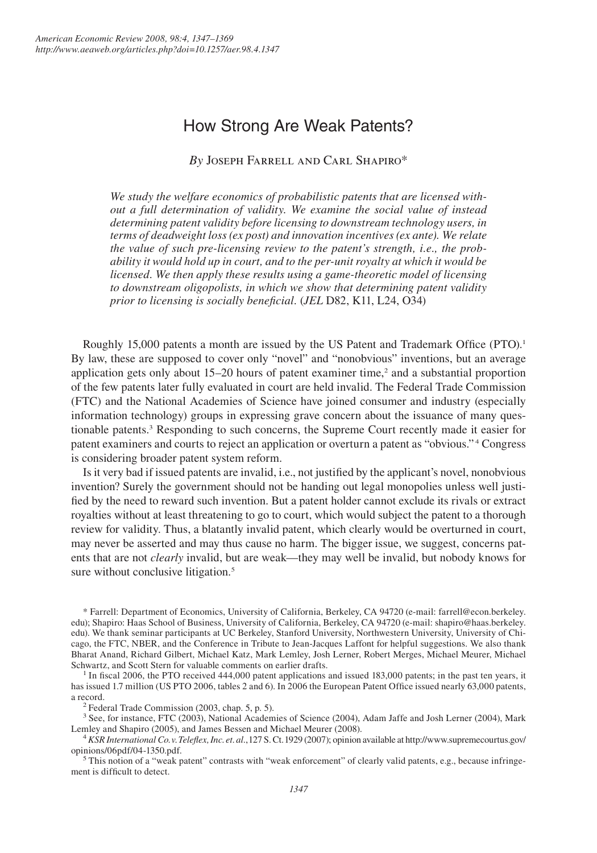# How Strong Are Weak Patents?

*By* Joseph Farrell and Carl Shapiro\*

*We study the welfare economics of probabilistic patents that are licensed without a full determination of validity. We examine the social value of instead determining patent validity before licensing to downstream technology users, in terms of deadweight loss (ex post) and innovation incentives (ex ante). We relate the value of such pre-licensing review to the patent's strength, i.e., the probability it would hold up in court, and to the per-unit royalty at which it would be licensed. We then apply these results using a game-theoretic model of licensing to downstream oligopolists, in which we show that determining patent validity prior to licensing is socially beneficial.* (*JEL* D82, K11, L24, O34)

Roughly 15,000 patents a month are issued by the US Patent and Trademark Office (PTO). By law, these are supposed to cover only "novel" and "nonobvious" inventions, but an average application gets only about  $15-20$  hours of patent examiner time,<sup>2</sup> and a substantial proportion of the few patents later fully evaluated in court are held invalid. The Federal Trade Commission (FTC) and the National Academies of Science have joined consumer and industry (especially information technology) groups in expressing grave concern about the issuance of many questionable patents. Responding to such concerns, the Supreme Court recently made it easier for patent examiners and courts to reject an application or overturn a patent as "obvious."<sup>4</sup> Congress is considering broader patent system reform.

Is it very bad if issued patents are invalid, i.e., not justified by the applicant's novel, nonobvious invention? Surely the government should not be handing out legal monopolies unless well justified by the need to reward such invention. But a patent holder cannot exclude its rivals or extract royalties without at least threatening to go to court, which would subject the patent to a thorough review for validity. Thus, a blatantly invalid patent, which clearly would be overturned in court, may never be asserted and may thus cause no harm. The bigger issue, we suggest, concerns patents that are not *clearly* invalid, but are weak—they may well be invalid, but nobody knows for sure without conclusive litigation.<sup>5</sup>

\* Farrell: Department of Economics, University of California, Berkeley, CA 94720 (e-mail: farrell@econ.berkeley. edu); Shapiro: Haas School of Business, University of California, Berkeley, CA 94720 (e-mail: shapiro@haas.berkeley. edu). We thank seminar participants at UC Berkeley, Stanford University, Northwestern University, University of Chicago, the FTC, NBER, and the Conference in Tribute to Jean-Jacques Laffont for helpful suggestions. We also thank Bharat Anand, Richard Gilbert, Michael Katz, Mark Lemley, Josh Lerner, Robert Merges, Michael Meurer, Michael Schwartz, and Scott Stern for valuable comments on earlier drafts.

<sup>1</sup> In fiscal 2006, the PTO received 444,000 patent applications and issued 183,000 patents; in the past ten years, it has issued 1.7 million (US PTO 2006, tables 2 and 6). In 2006 the European Patent Office issued nearly 63,000 patents, a record.

<sup>2</sup> Federal Trade Commission (2003, chap. 5, p. 5). Sp. 6 Science (2004), Adam Jaffe and Josh Lerner (2004), Mark <sup>3</sup> See, for instance, FTC (2003), National Academies of Science (2004), Adam Jaffe and Josh Lerner (2004) Lemley and Shapiro (2005), and James Bessen and Michael Meurer (2008). <sup>4</sup> KSR *International Co. v. Teleflex, Inc. et. al.*, 127 S. Ct. 1929 (2007); opinion available at http://www.supremecourtus.gov/

opinions/06pdf/04-1350.pdf.

<sup>5</sup>This notion of a "weak patent" contrasts with "weak enforcement" of clearly valid patents, e.g., because infringement is difficult to detect.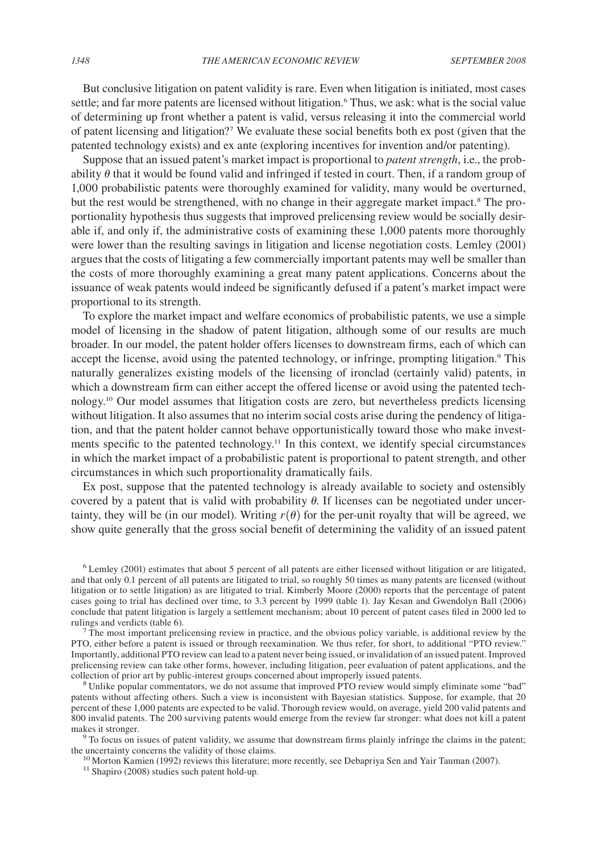But conclusive litigation on patent validity is rare. Even when litigation is initiated, most cases settle; and far more patents are licensed without litigation.<sup>6</sup> Thus, we ask: what is the social value of determining up front whether a patent is valid, versus releasing it into the commercial world of patent licensing and litigation? We evaluate these social benefits both ex post (given that the patented technology exists) and ex ante (exploring incentives for invention and/or patenting).

Suppose that an issued patent's market impact is proportional to *patent strength*, i.e., the probability  $\theta$  that it would be found valid and infringed if tested in court. Then, if a random group of 1,000 probabilistic patents were thoroughly examined for validity, many would be overturned, but the rest would be strengthened, with no change in their aggregate market impact.<sup>8</sup> The proportionality hypothesis thus suggests that improved prelicensing review would be socially desirable if, and only if, the administrative costs of examining these 1,000 patents more thoroughly were lower than the resulting savings in litigation and license negotiation costs. Lemley (2001) argues that the costs of litigating a few commercially important patents may well be smaller than the costs of more thoroughly examining a great many patent applications. Concerns about the issuance of weak patents would indeed be significantly defused if a patent's market impact were proportional to its strength.

To explore the market impact and welfare economics of probabilistic patents, we use a simple model of licensing in the shadow of patent litigation, although some of our results are much broader. In our model, the patent holder offers licenses to downstream firms, each of which can accept the license, avoid using the patented technology, or infringe, prompting litigation.<sup>9</sup> This naturally generalizes existing models of the licensing of ironclad (certainly valid) patents, in which a downstream firm can either accept the offered license or avoid using the patented technology.10 Our model assumes that litigation costs are zero, but nevertheless predicts licensing without litigation. It also assumes that no interim social costs arise during the pendency of litigation, and that the patent holder cannot behave opportunistically toward those who make investments specific to the patented technology.<sup>11</sup> In this context, we identify special circumstances in which the market impact of a probabilistic patent is proportional to patent strength, and other circumstances in which such proportionality dramatically fails.

Ex post, suppose that the patented technology is already available to society and ostensibly covered by a patent that is valid with probability  $\theta$ . If licenses can be negotiated under uncertainty, they will be (in our model). Writing  $r(\theta)$  for the per-unit royalty that will be agreed, we show quite generally that the gross social benefit of determining the validity of an issued patent

Lemley (2001) estimates that about 5 percent of all patents are either licensed without litigation or are litigated, and that only 0.1 percent of all patents are litigated to trial, so roughly 50 times as many patents are licensed (without litigation or to settle litigation) as are litigated to trial. Kimberly Moore (2000) reports that the percentage of patent cases going to trial has declined over time, to 3.3 percent by 1999 (table 1). Jay Kesan and Gwendolyn Ball (2006) conclude that patent litigation is largely a settlement mechanism; about 10 percent of patent cases filed in 2000 led to rulings and verdicts (table 6).

 $<sup>7</sup>$  The most important prelicensing review in practice, and the obvious policy variable, is additional review by the</sup> PTO, either before a patent is issued or through reexamination. We thus refer, for short, to additional "PTO review." Importantly, additional PTO review can lead to a patent never being issued, or invalidation of an issued patent. Improved prelicensing review can take other forms, however, including litigation, peer evaluation of patent applications, and the collection of prior art by public-interest groups concerned about improperly issued patents.

<sup>8</sup> Unlike popular commentators, we do not assume that improved PTO review would simply eliminate some "bad" patents without affecting others. Such a view is inconsistent with Bayesian statistics. Suppose, for example, that 20 percent of these 1,000 patents are expected to be valid. Thorough review would, on average, yield 200 valid patents and 800 invalid patents. The 200 surviving patents would emerge from the review far stronger: what does not kill a patent makes it stronger.

<sup>9</sup> To focus on issues of patent validity, we assume that downstream firms plainly infringe the claims in the patent; the uncertainty concerns the validity of those claims.<br><sup>10</sup> Morton Kamien (1992) reviews this literature; more recently, see Debapriya Sen and Yair Tauman (2007).<br><sup>11</sup> Shapiro (2008) studies such patent hold-up.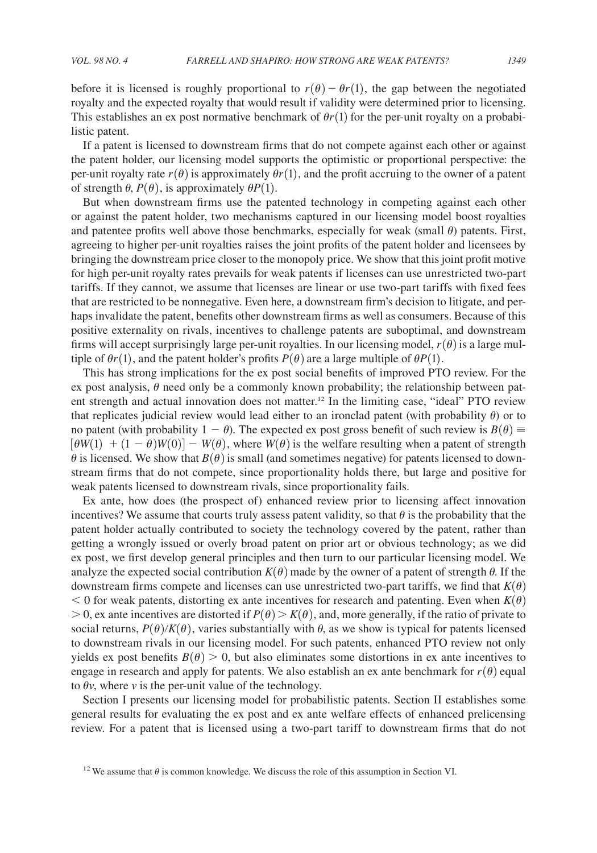before it is licensed is roughly proportional to  $r(\theta) - \theta r(1)$ , the gap between the negotiated royalty and the expected royalty that would result if validity were determined prior to licensing. This establishes an ex post normative benchmark of  $\theta r(1)$  for the per-unit royalty on a probabilistic patent.

If a patent is licensed to downstream firms that do not compete against each other or against the patent holder, our licensing model supports the optimistic or proportional perspective: the per-unit royalty rate  $r(\theta)$  is approximately  $\theta r(1)$ , and the profit accruing to the owner of a patent of strength  $\theta$ ,  $P(\theta)$ , is approximately  $\theta P(1)$ .

But when downstream firms use the patented technology in competing against each other or against the patent holder, two mechanisms captured in our licensing model boost royalties and patentee profits well above those benchmarks, especially for weak (small  $\theta$ ) patents. First, agreeing to higher per-unit royalties raises the joint profits of the patent holder and licensees by bringing the downstream price closer to the monopoly price. We show that this joint profit motive for high per-unit royalty rates prevails for weak patents if licenses can use unrestricted two-part tariffs. If they cannot, we assume that licenses are linear or use two-part tariffs with fixed fees that are restricted to be nonnegative. Even here, a downstream firm's decision to litigate, and perhaps invalidate the patent, benefits other downstream firms as well as consumers. Because of this positive externality on rivals, incentives to challenge patents are suboptimal, and downstream firms will accept surprisingly large per-unit royalties. In our licensing model,  $r(\theta)$  is a large multiple of  $\theta r(1)$ , and the patent holder's profits  $P(\theta)$  are a large multiple of  $\theta P(1)$ .

This has strong implications for the ex post social benefits of improved PTO review. For the ex post analysis,  $\theta$  need only be a commonly known probability; the relationship between patent strength and actual innovation does not matter.12 In the limiting case, "ideal" PTO review that replicates judicial review would lead either to an ironclad patent (with probability  $\theta$ ) or to no patent (with probability  $1 - \theta$ ). The expected ex post gross benefit of such review is  $B(\theta) \equiv$  $\left[\theta W(1) + (1 - \theta)W(0)\right] - W(\theta)$ , where  $W(\theta)$  is the welfare resulting when a patent of strength  $\theta$  is licensed. We show that  $B(\theta)$  is small (and sometimes negative) for patents licensed to downstream firms that do not compete, since proportionality holds there, but large and positive for weak patents licensed to downstream rivals, since proportionality fails.

Ex ante, how does (the prospect of) enhanced review prior to licensing affect innovation incentives? We assume that courts truly assess patent validity, so that  $\theta$  is the probability that the patent holder actually contributed to society the technology covered by the patent, rather than getting a wrongly issued or overly broad patent on prior art or obvious technology; as we did ex post, we first develop general principles and then turn to our particular licensing model. We analyze the expected social contribution  $K(\theta)$  made by the owner of a patent of strength  $\theta$ . If the downstream firms compete and licenses can use unrestricted two-part tariffs, we find that  $K(\theta)$  $<$  0 for weak patents, distorting ex ante incentives for research and patenting. Even when  $K(\theta)$  $> 0$ , ex ante incentives are distorted if  $P(\theta) > K(\theta)$ , and, more generally, if the ratio of private to social returns,  $P(\theta)/K(\theta)$ , varies substantially with  $\theta$ , as we show is typical for patents licensed to downstream rivals in our licensing model. For such patents, enhanced PTO review not only yields ex post benefits  $B(\theta) > 0$ , but also eliminates some distortions in ex ante incentives to engage in research and apply for patents. We also establish an ex ante benchmark for  $r(\theta)$  equal to  $\theta v$ , where *v* is the per-unit value of the technology.

Section I presents our licensing model for probabilistic patents. Section II establishes some general results for evaluating the ex post and ex ante welfare effects of enhanced prelicensing review. For a patent that is licensed using a two-part tariff to downstream firms that do not

<sup>&</sup>lt;sup>12</sup> We assume that  $\theta$  is common knowledge. We discuss the role of this assumption in Section VI.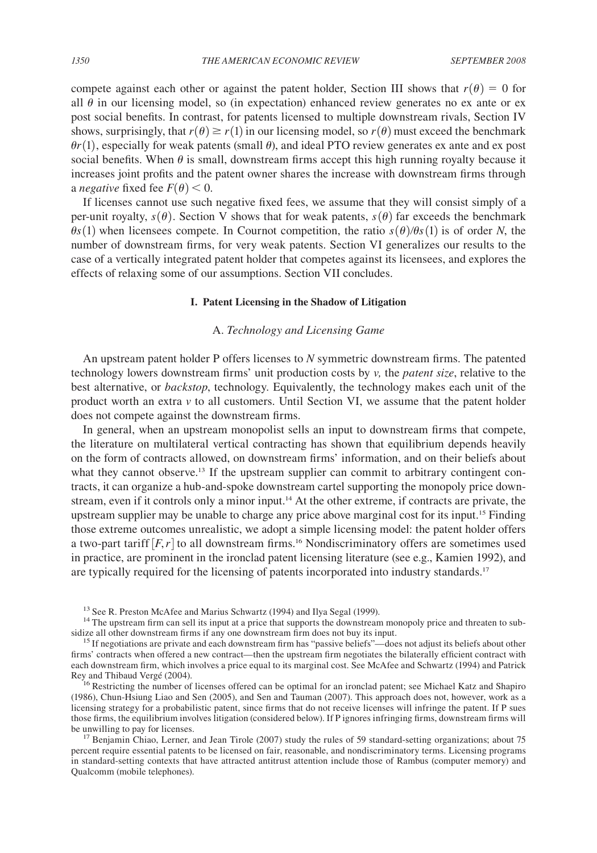compete against each other or against the patent holder, Section III shows that  $r(\theta) = 0$  for all  $\theta$  in our licensing model, so (in expectation) enhanced review generates no ex ante or ex post social benefits. In contrast, for patents licensed to multiple downstream rivals, Section IV shows, surprisingly, that  $r(\theta) \ge r(1)$  in our licensing model, so  $r(\theta)$  must exceed the benchmark  $\theta r(1)$ , especially for weak patents (small  $\theta$ ), and ideal PTO review generates ex ante and ex post social benefits. When  $\theta$  is small, downstream firms accept this high running royalty because it increases joint profits and the patent owner shares the increase with downstream firms through a *negative* fixed fee  $F(\theta)$  < 0.

If licenses cannot use such negative fixed fees, we assume that they will consist simply of a per-unit royalty,  $s(\theta)$ . Section V shows that for weak patents,  $s(\theta)$  far exceeds the benchmark  $\theta s(1)$  when licensees compete. In Cournot competition, the ratio  $s(\theta)/\theta s(1)$  is of order *N*, the number of downstream firms, for very weak patents. Section VI generalizes our results to the case of a vertically integrated patent holder that competes against its licensees, and explores the effects of relaxing some of our assumptions. Section VII concludes.

#### **I. Patent Licensing in the Shadow of Litigation**

# A. *Technology and Licensing Game*

An upstream patent holder P offers licenses to *N* symmetric downstream firms. The patented technology lowers downstream firms' unit production costs by *v,* the *patent size*, relative to the best alternative, or *backstop*, technology. Equivalently, the technology makes each unit of the product worth an extra *v* to all customers. Until Section VI, we assume that the patent holder does not compete against the downstream firms.

In general, when an upstream monopolist sells an input to downstream firms that compete, the literature on multilateral vertical contracting has shown that equilibrium depends heavily on the form of contracts allowed, on downstream firms' information, and on their beliefs about what they cannot observe.<sup>13</sup> If the upstream supplier can commit to arbitrary contingent contracts, it can organize a hub-and-spoke downstream cartel supporting the monopoly price downstream, even if it controls only a minor input.<sup>14</sup> At the other extreme, if contracts are private, the upstream supplier may be unable to charge any price above marginal cost for its input.<sup>15</sup> Finding those extreme outcomes unrealistic, we adopt a simple licensing model: the patent holder offers a two-part tariff  $[F, r]$  to all downstream firms.<sup>16</sup> Nondiscriminatory offers are sometimes used in practice, are prominent in the ironclad patent licensing literature (see e.g., Kamien 1992), and are typically required for the licensing of patents incorporated into industry standards.<sup>17</sup>

percent require essential patents to be licensed on fair, reasonable, and nondiscriminatory terms. Licensing programs in standard-setting contexts that have attracted antitrust attention include those of Rambus (computer memory) and Qualcomm (mobile telephones).

<sup>&</sup>lt;sup>13</sup> See R. Preston McAfee and Marius Schwartz (1994) and Ilya Segal (1999). <sup>14</sup> The upstream firm can sell its input at a price that supports the downstream monopoly price and threaten to subsidize all other downstream firms if any one downstream firm does not buy its input.<br><sup>15</sup> If negotiations are private and each downstream firm has "passive beliefs"—does not adjust its beliefs about other

firms' contracts when offered a new contract—then the upstream firm negotiates the bilaterally efficient contract with each downstream firm, which involves a price equal to its marginal cost. See McAfee and Schwartz (1994) and Patrick Rey and Thibaud Vergé (2004).<br><sup>16</sup> Restricting the number of licenses offered can be optimal for an ironclad patent; see Michael Katz and Shapiro

<sup>(1986),</sup> Chun-Hsiung Liao and Sen (2005), and Sen and Tauman (2007). This approach does not, however, work as a licensing strategy for a probabilistic patent, since firms that do not receive licenses will infringe the patent. If P sues those firms, the equilibrium involves litigation (considered below). If P ignores infringing firms, downstream firms will be unwilling to pay for licenses.<br><sup>17</sup> Benjamin Chiao, Lerner, and Jean Tirole (2007) study the rules of 59 standard-setting organizations; about 75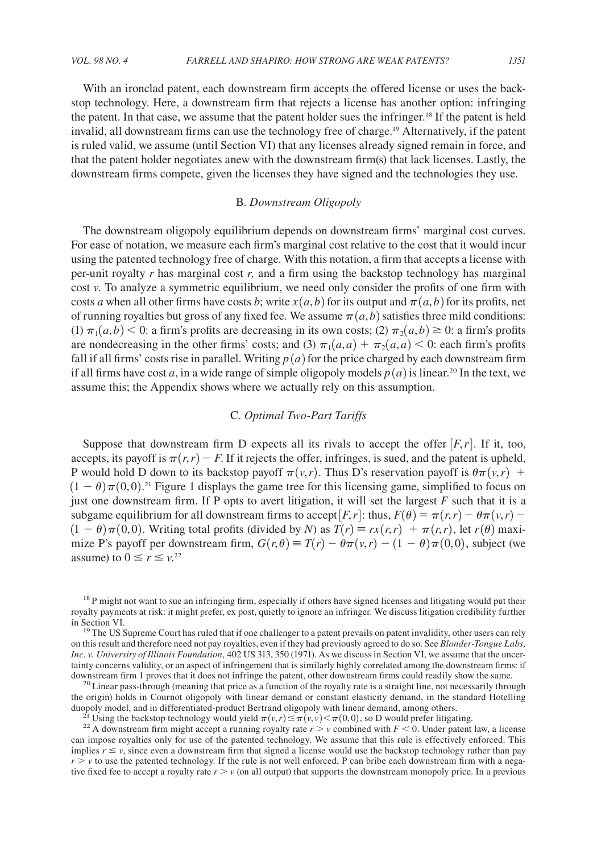With an ironclad patent, each downstream firm accepts the offered license or uses the backstop technology. Here, a downstream firm that rejects a license has another option: infringing the patent. In that case, we assume that the patent holder sues the infringer.<sup>18</sup> If the patent is held invalid, all downstream firms can use the technology free of charge.19 Alternatively, if the patent is ruled valid, we assume (until Section VI) that any licenses already signed remain in force, and that the patent holder negotiates anew with the downstream firm(s) that lack licenses. Lastly, the downstream firms compete, given the licenses they have signed and the technologies they use.

# B. *Downstream Oligopoly*

The downstream oligopoly equilibrium depends on downstream firms' marginal cost curves. For ease of notation, we measure each firm's marginal cost relative to the cost that it would incur using the patented technology free of charge. With this notation, a firm that accepts a license with per-unit royalty *r* has marginal cost *r,* and a firm using the backstop technology has marginal cost *v.* To analyze a symmetric equilibrium, we need only consider the profits of one firm with costs *a* when all other firms have costs *b*; write  $x(a, b)$  for its output and  $\pi(a, b)$  for its profits, net of running royalties but gross of any fixed fee. We assume  $\pi(a, b)$  satisfies three mild conditions:  $(1)$   $\pi_1(a,b)$  < 0: a firm's profits are decreasing in its own costs; (2)  $\pi_2(a,b) \ge 0$ : a firm's profits are nondecreasing in the other firms' costs; and (3)  $\pi_1(a, a) + \pi_2(a, a) < 0$ : each firm's profits fall if all firms' costs rise in parallel. Writing  $p(a)$  for the price charged by each downstream firm if all firms have cost *a*, in a wide range of simple oligopoly models  $p(a)$  is linear.<sup>20</sup> In the text, we assume this; the Appendix shows where we actually rely on this assumption.

## C. *Optimal Two-Part Tariffs*

Suppose that downstream firm D expects all its rivals to accept the offer  $[F,r]$ . If it, too, accepts, its payoff is  $\pi(r,r) - F$ . If it rejects the offer, infringes, is sued, and the patent is upheld, P would hold D down to its backstop payoff  $\pi(v,r)$ . Thus D's reservation payoff is  $\theta\pi(v,r)$  +  $(1 - \theta)\pi(0,0)$ .<sup>21</sup> Figure 1 displays the game tree for this licensing game, simplified to focus on just one downstream firm. If P opts to avert litigation, it will set the largest *F* such that it is a subgame equilibrium for all downstream firms to accept  $[F, r]$ : thus,  $F(\theta) = \pi(r,r) - \theta \pi(v,r)$  $(1 - \theta)\pi(0, 0)$ . Writing total profits (divided by *N*) as  $T(r) \equiv rx(r, r) + \pi(r, r)$ , let  $r(\theta)$  maximize P's payoff per downstream firm,  $G(r, \theta) = T(r) - \theta \pi(v,r) - (1 - \theta) \pi(0,0)$ , subject (we assume) to  $0 \le r \le \nu^{22}$ 

<sup>18</sup> P might not want to sue an infringing firm, especially if others have signed licenses and litigating would put their royalty payments at risk: it might prefer, ex post, quietly to ignore an infringer. We discuss litigation credibility further in Section VI.<br><sup>19</sup> The US Supreme Court has ruled that if one challenger to a patent prevails on patent invalidity, other users can rely

on this result and therefore need not pay royalties, even if they had previously agreed to do so. See *Blonder-Tongue Labs, Inc. v. University of Illinois Foundation,* 402 US 313, 350 (1971). As we discuss in Section VI, we assume that the uncertainty concerns validity, or an aspect of infringement that is similarly highly correlated among the downstream firms: if

downstream firm 1 proves that it does not infringe the patent, other downstream firms could readily show the same.<br><sup>20</sup> Linear pass-through (meaning that price as a function of the royalty rate is a straight line, not nece the origin) holds in Cournot oligopoly with linear demand or constant elasticity demand, in the standard Hotelling duopoly model, and in differentiated-product Bertrand oligopoly with linear demand, among others.<br><sup>21</sup> Using the backstop technology would yield  $\pi(v,r) \leq \pi(v,v) < \pi(0,0)$ , so D would prefer litigating.<br><sup>22</sup> A downstream fir

can impose royalties only for use of the patented technology. We assume that this rule is effectively enforced. This implies  $r \le v$ , since even a downstream firm that signed a license would use the backstop technology rather than pay  $r > v$  to use the patented technology. If the rule is not well enforced, P can bribe each downstream firm with a negative fixed fee to accept a royalty rate  $r > v$  (on all output) that supports the downstream monopoly price. In a previous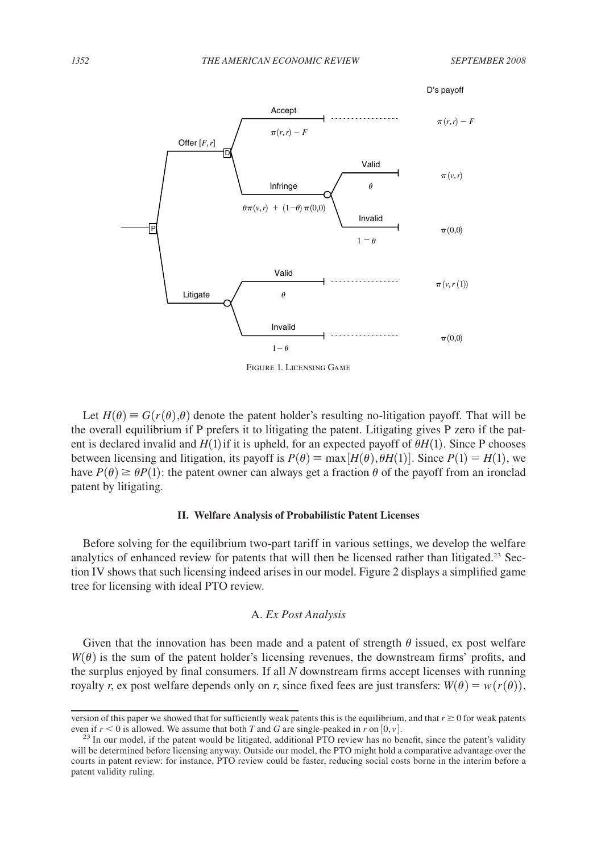

Figure 1. Licensing Game

Let  $H(\theta) \equiv G(r(\theta), \theta)$  denote the patent holder's resulting no-litigation payoff. That will be the overall equilibrium if P prefers it to litigating the patent. Litigating gives P zero if the patent is declared invalid and  $H(1)$  if it is upheld, for an expected payoff of  $\theta H(1)$ . Since P chooses between licensing and litigation, its payoff is  $P(\theta) \equiv \max[H(\theta), \theta H(1)]$ . Since  $P(1) = H(1)$ , we have  $P(\theta) \ge \theta P(1)$ : the patent owner can always get a fraction  $\theta$  of the payoff from an ironclad patent by litigating.

#### **II. Welfare Analysis of Probabilistic Patent Licenses**

Before solving for the equilibrium two-part tariff in various settings, we develop the welfare analytics of enhanced review for patents that will then be licensed rather than litigated.<sup>23</sup> Section IV shows that such licensing indeed arises in our model. Figure 2 displays a simplified game tree for licensing with ideal PTO review.

# A. *Ex Post Analysis*

Given that the innovation has been made and a patent of strength  $\theta$  issued, ex post welfare  $W(\theta)$  is the sum of the patent holder's licensing revenues, the downstream firms' profits, and the surplus enjoyed by final consumers. If all *N* downstream firms accept licenses with running royalty *r*, ex post welfare depends only on *r*, since fixed fees are just transfers:  $W(\theta) = w(r(\theta))$ ,

version of this paper we showed that for sufficiently weak patents this is the equilibrium, and that  $r \geq 0$  for weak patents even if  $r < 0$  is allowed. We assume that both T and G are single-peaked in r on [0, v].<br><sup>23</sup> In our model, if the patent would be litigated, additional PTO review has no benefit, since the patent's validity

will be determined before licensing anyway. Outside our model, the PTO might hold a comparative advantage over the courts in patent review: for instance, PTO review could be faster, reducing social costs borne in the interim before a patent validity ruling.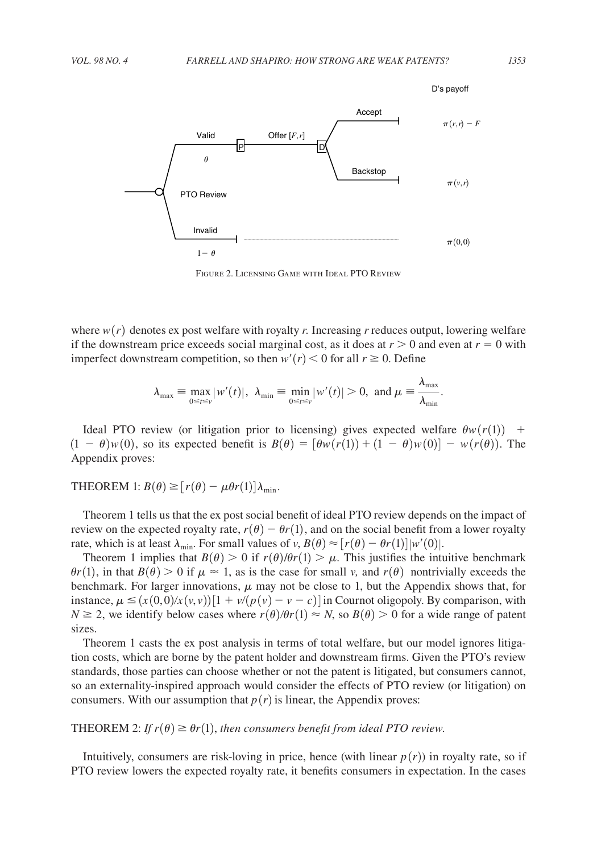

FIGURE 2. LICENSING GAME WITH IDEAL PTO REVIEW

where  $w(r)$  denotes ex post welfare with royalty *r*. Increasing *r* reduces output, lowering welfare if the downstream price exceeds social marginal cost, as it does at  $r > 0$  and even at  $r = 0$  with imperfect downstream competition, so then  $w'(r) < 0$  for all  $r \ge 0$ . Define

$$
\lambda_{\max} \equiv \max_{0 \le t \le v} |w'(t)|, \ \lambda_{\min} \equiv \min_{0 \le t \le v} |w'(t)| > 0, \text{ and } \mu = \frac{\lambda_{\max}}{\lambda_{\min}}.
$$

Ideal PTO review (or litigation prior to licensing) gives expected welfare  $\theta w(r(1))$  +  $(1 - \theta)w(0)$ , so its expected benefit is  $B(\theta) = [\theta w(r(1)) + (1 - \theta)w(0)] - w(r(\theta))$ . The Appendix proves:

THEOREM 1:  $B(\theta) \geq [r(\theta) - \mu \theta r(1)] \lambda_{\min}$ .

Theorem 1 tells us that the ex post social benefit of ideal PTO review depends on the impact of review on the expected royalty rate,  $r(\theta) - \theta r(1)$ , and on the social benefit from a lower royalty rate, which is at least  $\lambda_{\min}$ . For small values of *v*,  $B(\theta) \approx [r(\theta) - \theta r(1)] |w'(0)|$ .

Theorem 1 implies that  $B(\theta) > 0$  if  $r(\theta)/\theta r(1) > \mu$ . This justifies the intuitive benchmark  $\theta r(1)$ , in that  $B(\theta) > 0$  if  $\mu \approx 1$ , as is the case for small *v*, and  $r(\theta)$  nontrivially exceeds the benchmark. For larger innovations,  $\mu$  may not be close to 1, but the Appendix shows that, for instance,  $\mu \leq (x(0,0)/x(v,y))[1 + v/(p(v) - v - c)]$  in Cournot oligopoly. By comparison, with  $N \ge 2$ , we identify below cases where  $r(\theta)/\theta r(1) \approx N$ , so  $B(\theta) > 0$  for a wide range of patent sizes.

Theorem 1 casts the ex post analysis in terms of total welfare, but our model ignores litigation costs, which are borne by the patent holder and downstream firms. Given the PTO's review standards, those parties can choose whether or not the patent is litigated, but consumers cannot, so an externality-inspired approach would consider the effects of PTO review (or litigation) on consumers. With our assumption that  $p(r)$  is linear, the Appendix proves:

THEOREM 2: *If*  $r(\theta) \ge \theta r(1)$ , *then consumers benefit from ideal PTO review.* 

Intuitively, consumers are risk-loving in price, hence (with linear  $p(r)$ ) in royalty rate, so if PTO review lowers the expected royalty rate, it benefits consumers in expectation. In the cases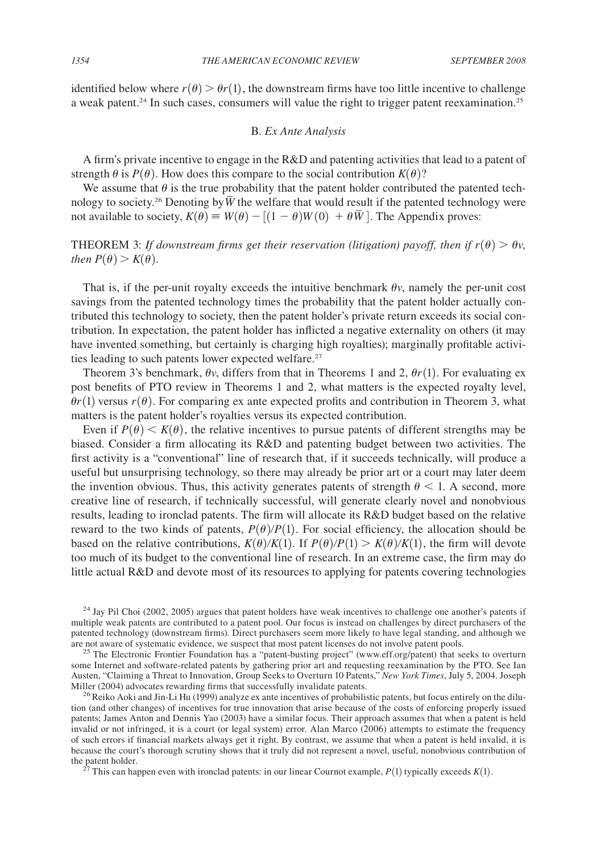identified below where  $r(\theta) > \theta r(1)$ , the downstream firms have too little incentive to challenge a weak patent.<sup>24</sup> In such cases, consumers will value the right to trigger patent reexamination.<sup>25</sup>

## B. *Ex Ante Analysis*

A firm's private incentive to engage in the R&D and patenting activities that lead to a patent of strength  $\theta$  is  $P(\theta)$ . How does this compare to the social contribution  $K(\theta)$ ?

We assume that  $\theta$  is the true probability that the patent holder contributed the patented technology to society.<sup>26</sup> Denoting by  $\overline{W}$  the welfare that would result if the patented technology were not available to society,  $K(\theta) \equiv W(\theta) - [(1 - \theta)W(0) + \theta \overline{W}]$ . The Appendix proves:

THEOREM 3: *If downstream firms get their reservation (litigation) payoff, then if*  $r(\theta) > \theta v$ , *then*  $P(\theta) > K(\theta)$ .

That is, if the per-unit royalty exceeds the intuitive benchmark  $\theta v$ , namely the per-unit cost savings from the patented technology times the probability that the patent holder actually contributed this technology to society, then the patent holder's private return exceeds its social contribution. In expectation, the patent holder has inflicted a negative externality on others (it may have invented something, but certainly is charging high royalties); marginally profitable activities leading to such patents lower expected welfare.<sup>27</sup>

Theorem 3's benchmark,  $\theta v$ , differs from that in Theorems 1 and 2,  $\theta r(1)$ . For evaluating ex post benefits of PTO review in Theorems 1 and 2, what matters is the expected royalty level,  $\theta r(1)$  versus  $r(\theta)$ . For comparing ex ante expected profits and contribution in Theorem 3, what matters is the patent holder's royalties versus its expected contribution.

Even if  $P(\theta) < K(\theta)$ , the relative incentives to pursue patents of different strengths may be biased. Consider a firm allocating its R&D and patenting budget between two activities. The first activity is a "conventional" line of research that, if it succeeds technically, will produce a useful but unsurprising technology, so there may already be prior art or a court may later deem the invention obvious. Thus, this activity generates patents of strength  $\theta$  < 1. A second, more creative line of research, if technically successful, will generate clearly novel and nonobvious results, leading to ironclad patents. The firm will allocate its R&D budget based on the relative reward to the two kinds of patents,  $P(\theta)/P(1)$ . For social efficiency, the allocation should be based on the relative contributions,  $K(\theta)/K(1)$ . If  $P(\theta)/P(1) > K(\theta)/K(1)$ , the firm will devote too much of its budget to the conventional line of research. In an extreme case, the firm may do little actual R&D and devote most of its resources to applying for patents covering technologies

 $^{24}$  Jay Pil Choi (2002, 2005) argues that patent holders have weak incentives to challenge one another's patents if multiple weak patents are contributed to a patent pool. Our focus is instead on challenges by direct purchasers of the patented technology (downstream firms). Direct purchasers seem more likely to have legal standing, and although we

are not aware of systematic evidence, we suspect that most patent licenses do not involve patent pools. <sup>25</sup> The Electronic Frontier Foundation has a "patent-busting project" (www.eff.org/patent) that seeks to overturn some Internet and software-related patents by gathering prior art and requesting reexamination by the PTO. See Ian Austen, "Claiming a Threat to Innovation, Group Seeks to Overturn 10 Patents," *New York Times*, July 5, 2004. Joseph Miller (2004) advocates rewarding firms that successfully invalidate patents.<br><sup>26</sup> Reiko Aoki and Jin-Li Hu (1999) analyze ex ante incentives of probabilistic patents, but focus entirely on the dilu-

tion (and other changes) of incentives for true innovation that arise because of the costs of enforcing properly issued patents; James Anton and Dennis Yao (2003) have a similar focus. Their approach assumes that when a patent is held invalid or not infringed, it is a court (or legal system) error. Alan Marco (2006) attempts to estimate the frequency of such errors if financial markets always get it right. By contrast, we assume that when a patent is held invalid, it is because the court's thorough scrutiny shows that it truly did not represent a novel, useful, nonobvious contribution of the patent holder.<br><sup>27</sup> This can happen even with ironclad patents: in our linear Cournot example,  $P(1)$  typically exceeds  $K(1)$ .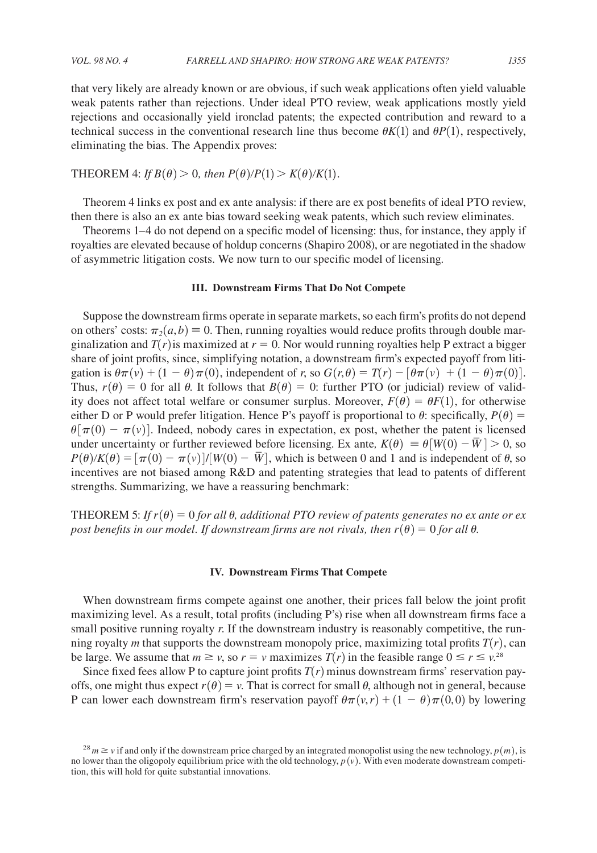that very likely are already known or are obvious, if such weak applications often yield valuable weak patents rather than rejections. Under ideal PTO review, weak applications mostly yield rejections and occasionally yield ironclad patents; the expected contribution and reward to a technical success in the conventional research line thus become  $\theta K(1)$  and  $\theta P(1)$ , respectively, eliminating the bias. The Appendix proves:

THEOREM 4: If 
$$
B(\theta) > 0
$$
, then  $P(\theta)/P(1) > K(\theta)/K(1)$ .

Theorem 4 links ex post and ex ante analysis: if there are ex post benefits of ideal PTO review, then there is also an ex ante bias toward seeking weak patents, which such review eliminates.

Theorems 1–4 do not depend on a specific model of licensing: thus, for instance, they apply if royalties are elevated because of holdup concerns (Shapiro 2008), or are negotiated in the shadow of asymmetric litigation costs. We now turn to our specific model of licensing.

#### **III. Downstream Firms That Do Not Compete**

Suppose the downstream firms operate in separate markets, so each firm's profits do not depend on others' costs:  $\pi_2(a, b) \equiv 0$ . Then, running royalties would reduce profits through double marginalization and  $T(r)$  is maximized at  $r = 0$ . Nor would running royalties help P extract a bigger share of joint profits, since, simplifying notation, a downstream firm's expected payoff from litigation is  $\theta \pi(v) + (1 - \theta) \pi(0)$ , independent of *r*, so  $G(r, \theta) = T(r) - [\theta \pi(v) + (1 - \theta) \pi(0)]$ . Thus,  $r(\theta) = 0$  for all  $\theta$ . It follows that  $B(\theta) = 0$ : further PTO (or judicial) review of validity does not affect total welfare or consumer surplus. Moreover,  $F(\theta) = \theta F(1)$ , for otherwise either D or P would prefer litigation. Hence P's payoff is proportional to  $\theta$ : specifically,  $P(\theta)$  =  $\theta[\pi(0) - \pi(\nu)]$ . Indeed, nobody cares in expectation, ex post, whether the patent is licensed under uncertainty or further reviewed before licensing. Ex ante,  $K(\theta) \equiv \theta[W(0) - \overline{W}] > 0$ , so  $P(\theta)K(\theta) = [\pi(0) - \pi(v)]/[W(0) - \overline{W}]$ , which is between 0 and 1 and is independent of  $\theta$ , so incentives are not biased among R&D and patenting strategies that lead to patents of different strengths. Summarizing, we have a reassuring benchmark:

THEOREM 5: *If*  $r(\theta) = 0$  *for all*  $\theta$ *, additional PTO review of patents generates no ex ante or ex post benefits in our model. If downstream firms are not rivals, then*  $r(\theta) = 0$  *for all*  $\theta$ .

#### **IV. Downstream Firms That Compete**

When downstream firms compete against one another, their prices fall below the joint profit maximizing level. As a result, total profits (including P's) rise when all downstream firms face a small positive running royalty *r*. If the downstream industry is reasonably competitive, the running royalty *m* that supports the downstream monopoly price, maximizing total profits  $T(r)$ , can be large. We assume that  $m \ge v$ , so  $r = v$  maximizes  $T(r)$  in the feasible range  $0 \le r \le v$ .<sup>28</sup>

Since fixed fees allow P to capture joint profits  $T(r)$  minus downstream firms' reservation payoffs, one might thus expect  $r(\theta) = v$ . That is correct for small  $\theta$ , although not in general, because P can lower each downstream firm's reservation payoff  $\theta\pi(\nu,r) + (1 - \theta)\pi(0,0)$  by lowering

 $^{28}$  *m*  $\geq$  *v* if and only if the downstream price charged by an integrated monopolist using the new technology,  $p(m)$ , is no lower than the oligopoly equilibrium price with the old technology,  $p(v)$ . With even moderate downstream competition, this will hold for quite substantial innovations.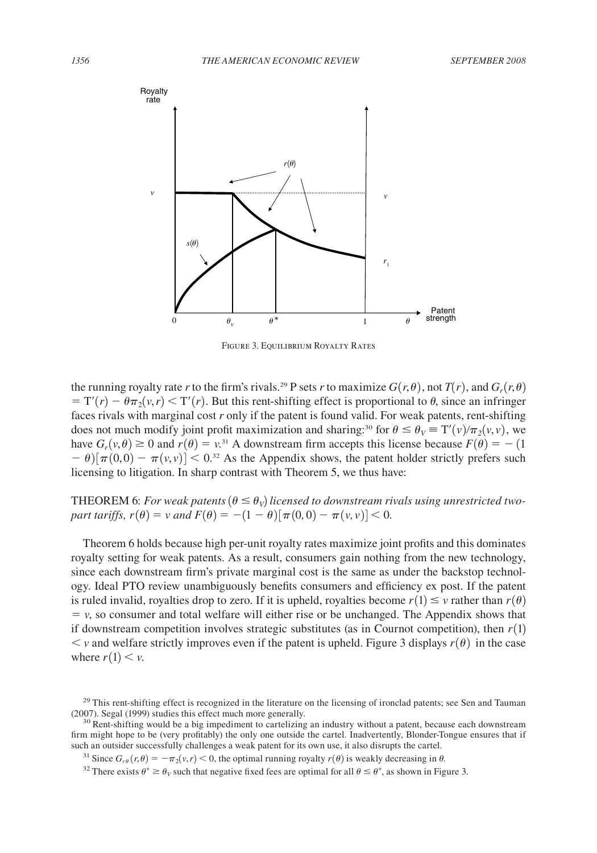

Figure 3. Equilibrium Royalty Rates

the running royalty rate *r* to the firm's rivals.<sup>29</sup> P sets *r* to maximize  $G(r, \theta)$ , not  $T(r)$ , and  $G_r(r, \theta)$  $T(T) - \theta \pi_2(v,r) < T'(r)$ . But this rent-shifting effect is proportional to  $\theta$ , since an infringer faces rivals with marginal cost *r* only if the patent is found valid. For weak patents, rent-shifting does not much modify joint profit maximization and sharing:<sup>30</sup> for  $\theta \le \theta_V \equiv T'(v)/\pi_2(v,v)$ , we have  $G_r(v, \theta) \ge 0$  and  $r(\theta) = v^{31}$  A downstream firm accepts this license because  $F(\theta) = -1$  $- \theta \left[ \pi(0,0) - \pi(\nu,\nu) \right] < 0^{32}$  As the Appendix shows, the patent holder strictly prefers such licensing to litigation. In sharp contrast with Theorem 5, we thus have:

# **THEOREM** 6: *For weak patents*  $(\theta \leq \theta_V)$  licensed to downstream rivals using unrestricted two*part tariffs,*  $r(\theta) = v$  *and*  $F(\theta) = -(1 - \theta) [\pi(0, 0) - \pi(v, v)] < 0$ .

Theorem 6 holds because high per-unit royalty rates maximize joint profits and this dominates royalty setting for weak patents. As a result, consumers gain nothing from the new technology, since each downstream firm's private marginal cost is the same as under the backstop technology. Ideal PTO review unambiguously benefits consumers and efficiency ex post. If the patent is ruled invalid, royalties drop to zero. If it is upheld, royalties become  $r(1) \leq v$  rather than  $r(\theta)$  $= v$ , so consumer and total welfare will either rise or be unchanged. The Appendix shows that if downstream competition involves strategic substitutes (as in Cournot competition), then  $r(1)$  $\lt v$  and welfare strictly improves even if the patent is upheld. Figure 3 displays  $r(\theta)$  in the case where  $r(1) < v$ .

<sup>&</sup>lt;sup>29</sup> This rent-shifting effect is recognized in the literature on the licensing of ironclad patents; see Sen and Tauman (2007). Segal (1999) studies this effect much more generally.<br> $30$  Rent-shifting would be a big impediment to cartelizing an industry without a patent, because each downstream

firm might hope to be (very profitably) the only one outside the cartel. Inadvertently, Blonder-Tongue ensures that if such an outsider successfully challenges a weak patent for its own use, it also disrupts the cartel.

<sup>&</sup>lt;sup>31</sup> Since  $G_{r\theta}(r,\theta) = -\pi_2(v,r) < 0$ , the optimal running royalty  $r(\theta)$  is weakly decreasing in  $\theta$ .

<sup>&</sup>lt;sup>32</sup> There exists  $\theta^* \ge \theta_V$  such that negative fixed fees are optimal for all  $\theta \le \theta^*$ , as shown in Figure 3.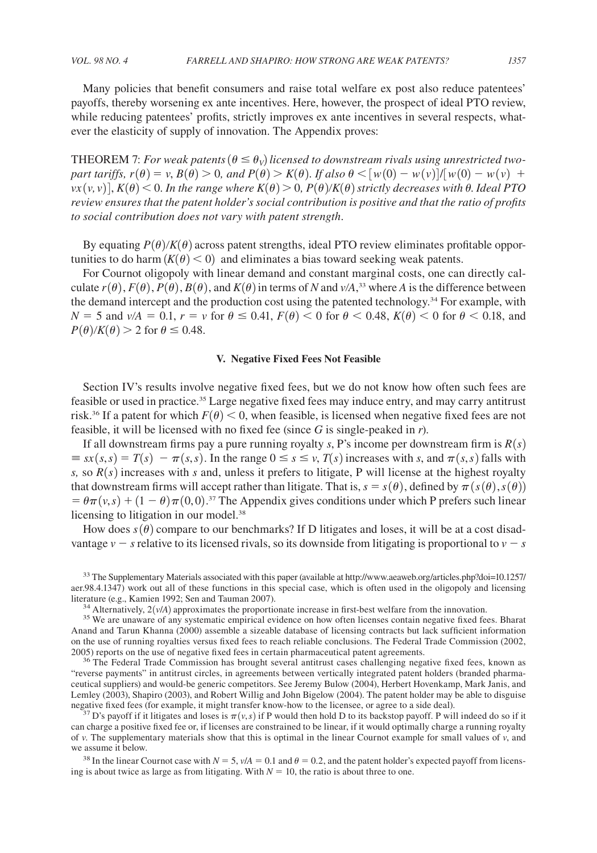Many policies that benefit consumers and raise total welfare ex post also reduce patentees' payoffs, thereby worsening ex ante incentives. Here, however, the prospect of ideal PTO review, while reducing patentees' profits, strictly improves ex ante incentives in several respects, whatever the elasticity of supply of innovation. The Appendix proves:

**THEOREM** 7: *For weak patents*  $(\theta \leq \theta_V)$  licensed to downstream rivals using unrestricted two*part tariffs,*  $r(\theta) = v$ ,  $B(\theta) > 0$ , and  $P(\theta) > K(\theta)$ . If also  $\theta < [w(0) - w(v)]/[w(0) - w(v) +$  $vx(v, v)$ ,  $K(\theta)$  < 0. *In the range where*  $K(\theta)$  > 0,  $P(\theta)/K(\theta)$  *strictly decreases with* 0. *Ideal PTO review ensures that the patent holder's social contribution is positive and that the ratio of profits to social contribution does not vary with patent strength*.

By equating  $P(\theta)/K(\theta)$  across patent strengths, ideal PTO review eliminates profitable opportunities to do harm  $(K(\theta) < 0)$  and eliminates a bias toward seeking weak patents.

For Cournot oligopoly with linear demand and constant marginal costs, one can directly calculate  $r(\theta)$ ,  $F(\theta)$ ,  $P(\theta)$ ,  $B(\theta)$ , and  $K(\theta)$  in terms of *N* and  $v/A$ ,<sup>33</sup> where *A* is the difference between the demand intercept and the production cost using the patented technology.<sup>34</sup> For example, with  $N = 5$  and  $v/A = 0.1$ ,  $r = v$  for  $\theta \le 0.41$ ,  $F(\theta) < 0$  for  $\theta < 0.48$ ,  $K(\theta) < 0$  for  $\theta < 0.18$ , and  $P(\theta)/K(\theta) > 2$  for  $\theta \le 0.48$ .

#### **V. Negative Fixed Fees Not Feasible**

Section IV's results involve negative fixed fees, but we do not know how often such fees are feasible or used in practice.<sup>35</sup> Large negative fixed fees may induce entry, and may carry antitrust risk.<sup>36</sup> If a patent for which  $F(\theta) < 0$ , when feasible, is licensed when negative fixed fees are not feasible, it will be licensed with no fixed fee (since *G* is single-peaked in *r*).

If all downstream firms pay a pure running royalty *s*, P's income per downstream firm is  $R(s)$  $\equiv$   $sx(s,s) = T(s) - \pi(s,s)$ . In the range  $0 \le s \le v$ ,  $T(s)$  increases with *s*, and  $\pi(s,s)$  falls with *s*, so  $R(s)$  increases with *s* and, unless it prefers to litigate, P will license at the highest royalty that downstream firms will accept rather than litigate. That is,  $s = s(\theta)$ , defined by  $\pi(s(\theta), s(\theta))$  $= \theta \pi (v, s) + (1 - \theta) \pi (0, 0)$ .<sup>37</sup> The Appendix gives conditions under which P prefers such linear licensing to litigation in our model.<sup>38</sup>

How does  $s(\theta)$  compare to our benchmarks? If D litigates and loses, it will be at a cost disadvantage  $v - s$  relative to its licensed rivals, so its downside from litigating is proportional to  $v - s$ 

<sup>33</sup> The Supplementary Materials associated with this paper (available at http://www.aeaweb.org/articles.php?doi=10.1257/ aer.98.4.1347) work out all of these functions in this special case, which is often used in the oligopoly and licensing literature (e.g., Kamien 1992; Sen and Tauman 2007).

<sup>34</sup> Alternatively,  $2(v/A)$  approximates the proportionate increase in first-best welfare from the innovation.<br><sup>35</sup> We are unaware of any systematic empirical evidence on how often licenses contain negative fixed fees. Bha

Anand and Tarun Khanna (2000) assemble a sizeable database of licensing contracts but lack sufficient information on the use of running royalties versus fixed fees to reach reliable conclusions. The Federal Trade Commission (2002, 2005) reports on the use of negative fixed fees in certain pharmaceutical patent agreements.

<sup>36</sup> The Federal Trade Commission has brought several antitrust cases challenging negative fixed fees, known as "reverse payments" in antitrust circles, in agreements between vertically integrated patent holders (branded pharmaceutical suppliers) and would-be generic competitors. See Jeremy Bulow (2004), Herbert Hovenkamp, Mark Janis, and Lemley (2003), Shapiro (2003), and Robert Willig and John Bigelow (2004). The patent holder may be able to disguise negative fixed fees (for example, it might transfer know-how to the licensee, or agree to a side deal).

<sup>37</sup> D's payoff if it litigates and loses is  $\pi(v, s)$  if P would then hold D to its backstop payoff. P will indeed do so if it can charge a positive fixed fee or, if licenses are constrained to be linear, if it would optimally charge a running royalty of *v*. The supplementary materials show that this is optimal in the linear Cournot example for small values of *v*, and we assume it below.

<sup>38</sup> In the linear Cournot case with  $N = 5$ ,  $v/A = 0.1$  and  $\theta = 0.2$ , and the patent holder's expected payoff from licensing is about twice as large as from litigating. With  $N = 10$ , the ratio is about three to one.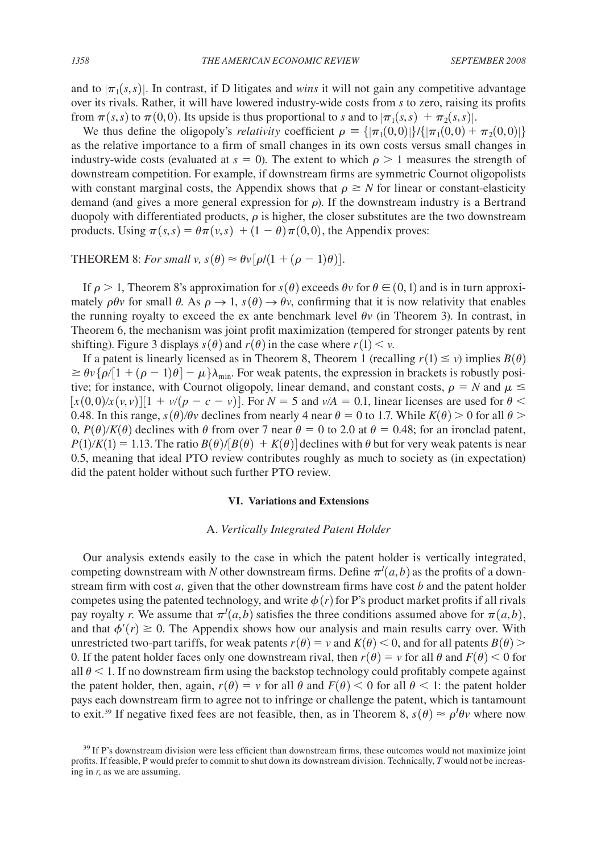and to  $|\pi_1(s,s)|$ . In contrast, if D litigates and *wins* it will not gain any competitive advantage over its rivals. Rather, it will have lowered industry-wide costs from *s* to zero, raising its profits from  $\pi(s,s)$  to  $\pi(0,0)$ . Its upside is thus proportional to *s* and to  $|\pi_1(s,s) + \pi_2(s,s)|$ .

We thus define the oligopoly's *relativity* coefficient  $\rho = {\vert \pi_1(0,0) \vert \} / {\vert \pi_1(0,0) + \pi_2(0,0) \vert}$ as the relative importance to a firm of small changes in its own costs versus small changes in industry-wide costs (evaluated at  $s = 0$ ). The extent to which  $\rho > 1$  measures the strength of downstream competition. For example, if downstream firms are symmetric Cournot oligopolists with constant marginal costs, the Appendix shows that  $\rho \geq N$  for linear or constant-elasticity demand (and gives a more general expression for  $\rho$ ). If the downstream industry is a Bertrand duopoly with differentiated products,  $\rho$  is higher, the closer substitutes are the two downstream products. Using  $\pi(s, s) = \theta \pi(v, s) + (1 - \theta) \pi(0, 0)$ , the Appendix proves:

THEOREM 8: *For small v,*  $s(\theta) \approx \theta v [\rho/(1 + (\rho - 1)\theta)].$ 

If  $\rho > 1$ , Theorem 8's approximation for  $s(\theta)$  exceeds  $\theta v$  for  $\theta \in (0, 1)$  and is in turn approximately  $\rho\theta v$  for small  $\theta$ . As  $\rho \rightarrow 1$ ,  $s(\theta) \rightarrow \theta v$ , confirming that it is now relativity that enables the running royalty to exceed the ex ante benchmark level  $\theta v$  (in Theorem 3). In contrast, in Theorem 6, the mechanism was joint profit maximization (tempered for stronger patents by rent shifting). Figure 3 displays  $s(\theta)$  and  $r(\theta)$  in the case where  $r(1) < v$ .

If a patent is linearly licensed as in Theorem 8, Theorem 1 (recalling  $r(1) \le v$ ) implies  $B(\theta)$  $\ge \theta \nu \{\rho/1 + (\rho - 1)\theta\} - \mu \}\lambda_{\min}$ . For weak patents, the expression in brackets is robustly positive; for instance, with Cournot oligopoly, linear demand, and constant costs,  $\rho = N$  and  $\mu \leq$  $[x(0,0)/x(v,v)][1 + v/(p - c - v)].$  For  $N = 5$  and  $v/A = 0.1$ , linear licenses are used for  $\theta <$ 0.48. In this range,  $s(\theta)/\theta v$  declines from nearly 4 near  $\theta = 0$  to 1.7. While  $K(\theta) > 0$  for all  $\theta >$ 0,  $P(\theta)/K(\theta)$  declines with  $\theta$  from over 7 near  $\theta = 0$  to 2.0 at  $\theta = 0.48$ ; for an ironclad patent,  $P(1)/K(1) = 1.13$ . The ratio  $B(\theta)/[B(\theta) + K(\theta)]$  declines with  $\theta$  but for very weak patents is near 0.5, meaning that ideal PTO review contributes roughly as much to society as (in expectation) did the patent holder without such further PTO review.

#### **VI. Variations and Extensions**

## A. *Vertically Integrated Patent Holder*

Our analysis extends easily to the case in which the patent holder is vertically integrated, competing downstream with *N* other downstream firms. Define  $\pi^l(a, b)$  as the profits of a downstream firm with cost *a,* given that the other downstream firms have cost *b* and the patent holder competes using the patented technology, and write  $\phi(r)$  for P's product market profits if all rivals pay royalty *r*. We assume that  $\pi^I(a, b)$  satisfies the three conditions assumed above for  $\pi(a, b)$ , and that  $\phi'(r) \geq 0$ . The Appendix shows how our analysis and main results carry over. With unrestricted two-part tariffs, for weak patents  $r(\theta) = v$  and  $K(\theta) < 0$ , and for all patents  $B(\theta)$ 0. If the patent holder faces only one downstream rival, then  $r(\theta) = v$  for all  $\theta$  and  $F(\theta) < 0$  for all  $\theta$  < 1. If no downstream firm using the backstop technology could profitably compete against the patent holder, then, again,  $r(\theta) = v$  for all  $\theta$  and  $F(\theta) < 0$  for all  $\theta < 1$ : the patent holder pays each downstream firm to agree not to infringe or challenge the patent, which is tantamount to exit.<sup>39</sup> If negative fixed fees are not feasible, then, as in Theorem 8,  $s(\theta) \approx \rho^I \theta v$  where now

<sup>&</sup>lt;sup>39</sup> If P's downstream division were less efficient than downstream firms, these outcomes would not maximize joint profits. If feasible, P would prefer to commit to shut down its downstream division. Technically, *T* would not be increasing in *r*, as we are assuming.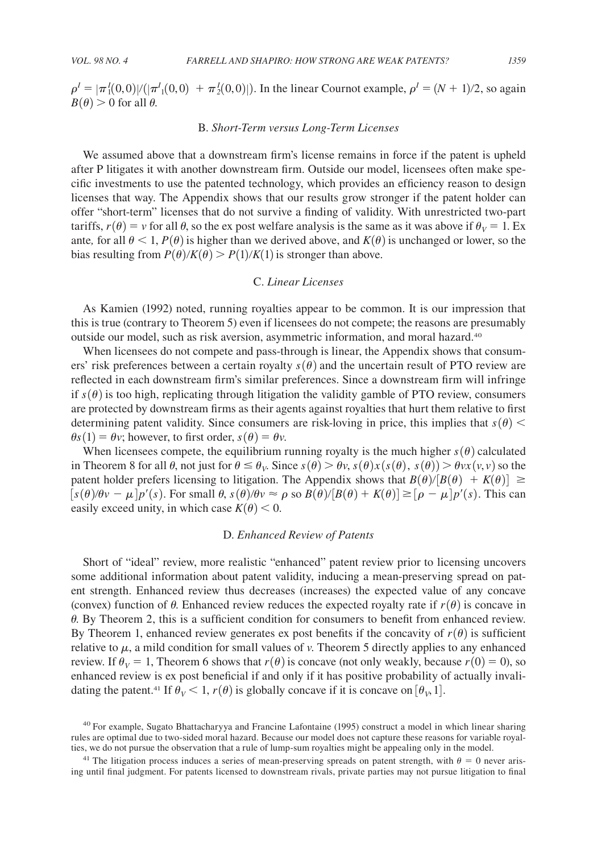$\rho^I = |\pi_1^I(0,0)|/(|\pi^I(1,0,0)| + \pi_2^I(0,0)|)$ . In the linear Cournot example,  $\rho^I = (N+1)/2$ , so again  $B(\theta) > 0$  for all  $\theta$ .

#### B. *Short-Term versus Long-Term Licenses*

We assumed above that a downstream firm's license remains in force if the patent is upheld after P litigates it with another downstream firm. Outside our model, licensees often make specific investments to use the patented technology, which provides an efficiency reason to design licenses that way. The Appendix shows that our results grow stronger if the patent holder can offer "short-term" licenses that do not survive a finding of validity. With unrestricted two-part tariffs,  $r(\theta) = v$  for all  $\theta$ , so the ex post welfare analysis is the same as it was above if  $\theta_V = 1$ . Ex ante, for all  $\theta$  < 1,  $P(\theta)$  is higher than we derived above, and *K*( $\theta$ ) is unchanged or lower, so the bias resulting from  $P(\theta)/K(\theta) > P(1)/K(1)$  is stronger than above.

#### C. *Linear Licenses*

As Kamien (1992) noted, running royalties appear to be common. It is our impression that this is true (contrary to Theorem 5) even if licensees do not compete; the reasons are presumably outside our model, such as risk aversion, asymmetric information, and moral hazard.<sup>40</sup>

When licensees do not compete and pass-through is linear, the Appendix shows that consumers' risk preferences between a certain royalty  $s(\theta)$  and the uncertain result of PTO review are reflected in each downstream firm's similar preferences. Since a downstream firm will infringe if  $s(\theta)$  is too high, replicating through litigation the validity gamble of PTO review, consumers are protected by downstream firms as their agents against royalties that hurt them relative to first determining patent validity. Since consumers are risk-loving in price, this implies that  $s(\theta)$  <  $\theta$ *s*(1) =  $\theta$ *v*; however, to first order, *s*( $\theta$ ) =  $\theta$ *v*.

When licensees compete, the equilibrium running royalty is the much higher  $s(\theta)$  calculated in Theorem 8 for all  $\theta$ , not just for  $\theta \le \theta_V$ . Since  $s(\theta) > \theta_V$ ,  $s(\theta)x(s(\theta), s(\theta)) > \theta vx(v, v)$  so the patent holder prefers licensing to litigation. The Appendix shows that  $B(\theta)/[B(\theta) + K(\theta)] \ge$  $[s(\theta)/\theta v - \mu] p'(s)$ . For small  $\theta$ ,  $s(\theta)/\theta v \approx \rho$  so  $B(\theta)/[B(\theta) + K(\theta)] \geq [\rho - \mu] p'(s)$ . This can easily exceed unity, in which case  $K(\theta) < 0$ .

# D. *Enhanced Review of Patents*

Short of "ideal" review, more realistic "enhanced" patent review prior to licensing uncovers some additional information about patent validity, inducing a mean-preserving spread on patent strength. Enhanced review thus decreases (increases) the expected value of any concave (convex) function of  $\theta$ . Enhanced review reduces the expected royalty rate if  $r(\theta)$  is concave in  $\theta$ . By Theorem 2, this is a sufficient condition for consumers to benefit from enhanced review. By Theorem 1, enhanced review generates ex post benefits if the concavity of  $r(\theta)$  is sufficient relative to  $\mu$ , a mild condition for small values of  $\nu$ . Theorem 5 directly applies to any enhanced review. If  $\theta_V = 1$ , Theorem 6 shows that  $r(\theta)$  is concave (not only weakly, because  $r(0) = 0$ ), so enhanced review is ex post beneficial if and only if it has positive probability of actually invalidating the patent.<sup>41</sup> If  $\theta_V < 1$ ,  $r(\theta)$  is globally concave if it is concave on  $[\theta_V, 1]$ .

<sup>40</sup> For example, Sugato Bhattacharyya and Francine Lafontaine (1995) construct a model in which linear sharing rules are optimal due to two-sided moral hazard. Because our model does not capture these reasons for variable royalties, we do not pursue the observation that a rule of lump-sum royalties might be appealing only in the model.

<sup>&</sup>lt;sup>41</sup> The litigation process induces a series of mean-preserving spreads on patent strength, with  $\theta = 0$  never arising until final judgment. For patents licensed to downstream rivals, private parties may not pursue litigation to final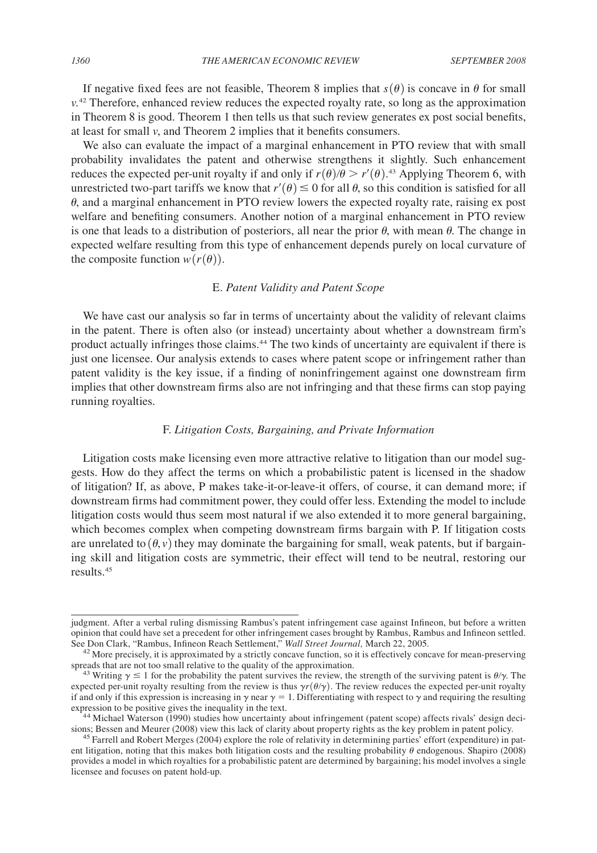If negative fixed fees are not feasible, Theorem 8 implies that  $s(\theta)$  is concave in  $\theta$  for small  $v<sup>42</sup>$  Therefore, enhanced review reduces the expected royalty rate, so long as the approximation in Theorem 8 is good. Theorem 1 then tells us that such review generates ex post social benefits, at least for small *v*, and Theorem 2 implies that it benefits consumers.

We also can evaluate the impact of a marginal enhancement in PTO review that with small probability invalidates the patent and otherwise strengthens it slightly. Such enhancement reduces the expected per-unit royalty if and only if  $r(\theta)/\theta > r'(\theta)$ .<sup>43</sup> Applying Theorem 6, with unrestricted two-part tariffs we know that  $r'(\theta) \leq 0$  for all  $\theta$ , so this condition is satisfied for all  $\theta$ , and a marginal enhancement in PTO review lowers the expected royalty rate, raising ex post welfare and benefiting consumers. Another notion of a marginal enhancement in PTO review is one that leads to a distribution of posteriors, all near the prior  $\theta$ , with mean  $\theta$ . The change in expected welfare resulting from this type of enhancement depends purely on local curvature of the composite function  $w(r(\theta))$ .

## E. *Patent Validity and Patent Scope*

We have cast our analysis so far in terms of uncertainty about the validity of relevant claims in the patent. There is often also (or instead) uncertainty about whether a downstream firm's product actually infringes those claims.44 The two kinds of uncertainty are equivalent if there is just one licensee. Our analysis extends to cases where patent scope or infringement rather than patent validity is the key issue, if a finding of noninfringement against one downstream firm implies that other downstream firms also are not infringing and that these firms can stop paying running royalties.

# F. *Litigation Costs, Bargaining, and Private Information*

Litigation costs make licensing even more attractive relative to litigation than our model suggests. How do they affect the terms on which a probabilistic patent is licensed in the shadow of litigation? If, as above, P makes take-it-or-leave-it offers, of course, it can demand more; if downstream firms had commitment power, they could offer less. Extending the model to include litigation costs would thus seem most natural if we also extended it to more general bargaining, which becomes complex when competing downstream firms bargain with P. If litigation costs are unrelated to  $(\theta, v)$  they may dominate the bargaining for small, weak patents, but if bargaining skill and litigation costs are symmetric, their effect will tend to be neutral, restoring our results.45

judgment. After a verbal ruling dismissing Rambus's patent infringement case against Infineon, but before a written opinion that could have set a precedent for other infringement cases brought by Rambus, Rambus and Infineon settled.

See Don Clark, "Rambus, Infineon Reach Settlement," *Wall Street Journal*, March 22, 2005.<br><sup>42</sup> More precisely, it is approximated by a strictly concave function, so it is effectively concave for mean-preserving spreads th

<sup>&</sup>lt;sup>43</sup> Writing  $\gamma \le 1$  for the probability the patent survives the review, the strength of the surviving patent is  $\theta/\gamma$ . The expected per-unit royalty resulting from the review is thus  $\gamma r(\theta/\gamma)$ . The review reduces the expected per-unit royalty if and only if this expression is increasing in  $\gamma$  near  $\gamma = 1$ . Differentiating with respect to  $\gamma$  and requiring the resulting expression to be positive gives the inequality in the text.

 $44$  Michael Waterson (1990) studies how uncertainty about infringement (patent scope) affects rivals' design decisions; Bessen and Meurer (2008) view this lack of clarity about property rights as the key problem in patent policy.<br><sup>45</sup> Farrell and Robert Merges (2004) explore the role of relativity in determining parties' effort (expe

ent litigation, noting that this makes both litigation costs and the resulting probability  $\theta$  endogenous. Shapiro (2008) provides a model in which royalties for a probabilistic patent are determined by bargaining; his model involves a single licensee and focuses on patent hold-up.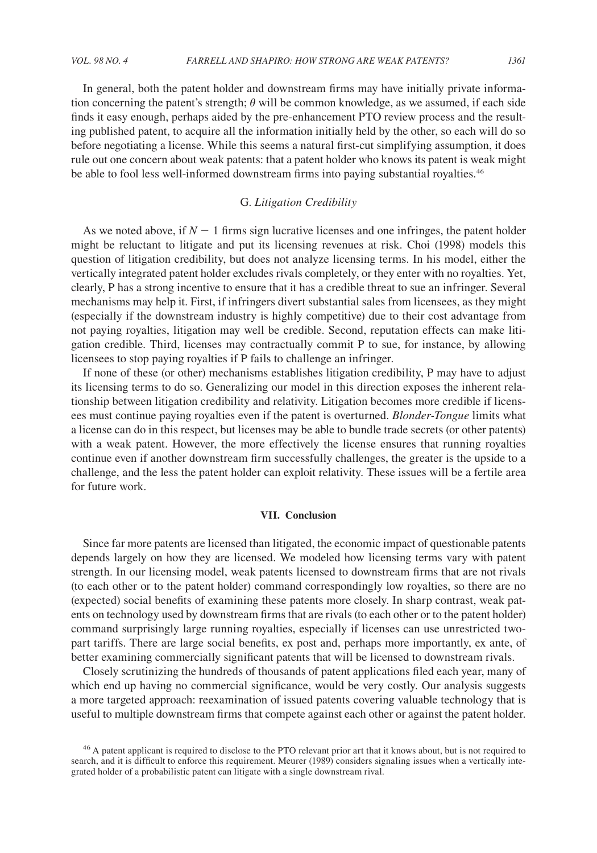In general, both the patent holder and downstream firms may have initially private information concerning the patent's strength;  $\theta$  will be common knowledge, as we assumed, if each side finds it easy enough, perhaps aided by the pre-enhancement PTO review process and the resulting published patent, to acquire all the information initially held by the other, so each will do so before negotiating a license. While this seems a natural first-cut simplifying assumption, it does rule out one concern about weak patents: that a patent holder who knows its patent is weak might be able to fool less well-informed downstream firms into paying substantial royalties.<sup>46</sup>

# G. *Litigation Credibility*

As we noted above, if  $N-1$  firms sign lucrative licenses and one infringes, the patent holder might be reluctant to litigate and put its licensing revenues at risk. Choi (1998) models this question of litigation credibility, but does not analyze licensing terms. In his model, either the vertically integrated patent holder excludes rivals completely, or they enter with no royalties. Yet, clearly, P has a strong incentive to ensure that it has a credible threat to sue an infringer. Several mechanisms may help it. First, if infringers divert substantial sales from licensees, as they might (especially if the downstream industry is highly competitive) due to their cost advantage from not paying royalties, litigation may well be credible. Second, reputation effects can make litigation credible. Third, licenses may contractually commit P to sue, for instance, by allowing licensees to stop paying royalties if P fails to challenge an infringer.

If none of these (or other) mechanisms establishes litigation credibility, P may have to adjust its licensing terms to do so. Generalizing our model in this direction exposes the inherent relationship between litigation credibility and relativity. Litigation becomes more credible if licensees must continue paying royalties even if the patent is overturned. *Blonder-Tongue* limits what a license can do in this respect, but licenses may be able to bundle trade secrets (or other patents) with a weak patent. However, the more effectively the license ensures that running royalties continue even if another downstream firm successfully challenges, the greater is the upside to a challenge, and the less the patent holder can exploit relativity. These issues will be a fertile area for future work.

#### **VII. Conclusion**

Since far more patents are licensed than litigated, the economic impact of questionable patents depends largely on how they are licensed. We modeled how licensing terms vary with patent strength. In our licensing model, weak patents licensed to downstream firms that are not rivals (to each other or to the patent holder) command correspondingly low royalties, so there are no (expected) social benefits of examining these patents more closely. In sharp contrast, weak patents on technology used by downstream firms that are rivals (to each other or to the patent holder) command surprisingly large running royalties, especially if licenses can use unrestricted twopart tariffs. There are large social benefits, ex post and, perhaps more importantly, ex ante, of better examining commercially significant patents that will be licensed to downstream rivals.

Closely scrutinizing the hundreds of thousands of patent applications filed each year, many of which end up having no commercial significance, would be very costly. Our analysis suggests a more targeted approach: reexamination of issued patents covering valuable technology that is useful to multiple downstream firms that compete against each other or against the patent holder.

<sup>46</sup> A patent applicant is required to disclose to the PTO relevant prior art that it knows about, but is not required to search, and it is difficult to enforce this requirement. Meurer (1989) considers signaling issues when a vertically integrated holder of a probabilistic patent can litigate with a single downstream rival.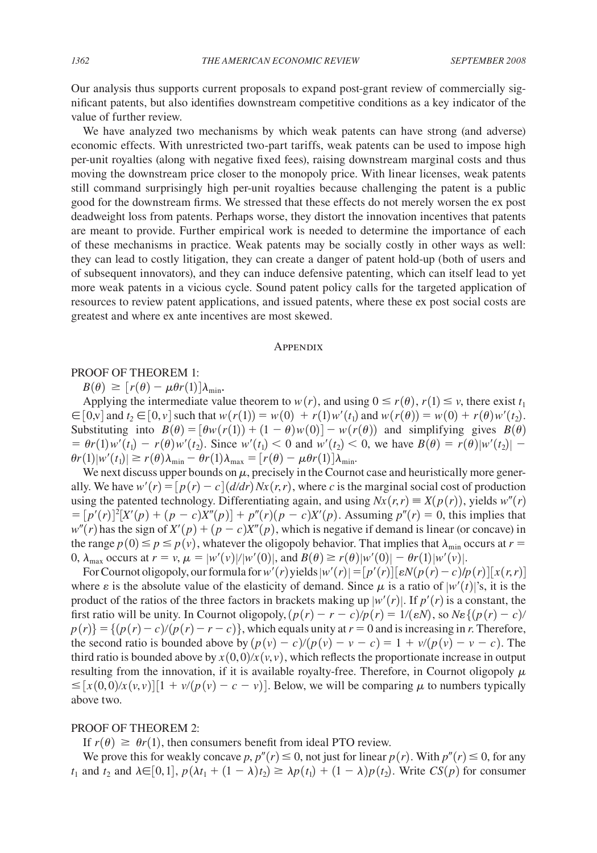Our analysis thus supports current proposals to expand post-grant review of commercially significant patents, but also identifies downstream competitive conditions as a key indicator of the value of further review.

We have analyzed two mechanisms by which weak patents can have strong (and adverse) economic effects. With unrestricted two-part tariffs, weak patents can be used to impose high per-unit royalties (along with negative fixed fees), raising downstream marginal costs and thus moving the downstream price closer to the monopoly price. With linear licenses, weak patents still command surprisingly high per-unit royalties because challenging the patent is a public good for the downstream firms. We stressed that these effects do not merely worsen the ex post deadweight loss from patents. Perhaps worse, they distort the innovation incentives that patents are meant to provide. Further empirical work is needed to determine the importance of each of these mechanisms in practice. Weak patents may be socially costly in other ways as well: they can lead to costly litigation, they can create a danger of patent hold-up (both of users and of subsequent innovators), and they can induce defensive patenting, which can itself lead to yet more weak patents in a vicious cycle. Sound patent policy calls for the targeted application of resources to review patent applications, and issued patents, where these ex post social costs are greatest and where ex ante incentives are most skewed.

#### **APPENDIX**

## PROOF OF THEOREM 1:

 $B(\theta) \geq [r(\theta) - \mu \theta r(1)] \lambda_{\min}$ .

Applying the intermediate value theorem to  $w(r)$ , and using  $0 \le r(\theta)$ ,  $r(1) \le v$ , there exist  $t_1$  $\in [0, v]$  and  $t_2 \in [0, v]$  such that  $w(r(1)) = w(0) + r(1)w'(t_1)$  and  $w(r(\theta)) = w(0) + r(\theta)w'(t_2)$ . Substituting into  $B(\theta) = [\theta w(r(1)) + (1 - \theta) w(0)] - w(r(\theta))$  and simplifying gives  $B(\theta)$  $= \theta r(1)w'(t_1) - r(\theta)w'(t_2)$ . Since  $w'(t_1) < 0$  and  $w'(t_2) < 0$ , we have  $B(\theta) = r(\theta)|w'(t_2)| - r(\theta)|w'(t_2)$  $\theta r(1)|w'(t_1)| \ge r(\theta)\lambda_{\min} - \theta r(1)\lambda_{\max} = [r(\theta) - \mu \theta r(1)]\lambda_{\min}$ .

We next discuss upper bounds on  $\mu$ , precisely in the Cournot case and heuristically more generally. We have  $w'(r) = [p(r) - c] (d/dr) Nx(r, r)$ , where *c* is the marginal social cost of production using the patented technology. Differentiating again, and using  $Nx(r,r) \equiv X(p(r))$ , yields  $w''(r)$  $=[p'(r)]^2 [X'(p) + (p - c)X''(p)] + p''(r)(p - c)X'(p)$ . Assuming  $p''(r) = 0$ , this implies that  $w''(r)$  has the sign of  $X'(p) + (p - c)X''(p)$ , which is negative if demand is linear (or concave) in the range  $p(0) \le p \le p(v)$ , whatever the oligopoly behavior. That implies that  $\lambda_{\min}$  occurs at  $r =$ 0,  $\lambda_{\text{max}}$  occurs at  $r = v$ ,  $\mu = |w'(v)|/|w'(0)|$ , and  $B(\theta) \ge r(\theta)|w'(0)| - \theta r(1)|w'(v)|$ .

For Cournot oligopoly, our formula for  $w'(r)$  yields  $|w'(r)| = [p'(r)][\epsilon N(p(r) - c)/p(r)][x(r, r)]$ where  $\varepsilon$  is the absolute value of the elasticity of demand. Since  $\mu$  is a ratio of  $|w'(t)|$ 's, it is the product of the ratios of the three factors in brackets making up  $|w'(r)|$ . If  $p'(r)$  is a constant, the first ratio will be unity. In Cournot oligopoly,  $(p(r) - r - c)/p(r) = 1/(eN)$ , so  $N \epsilon \{ (p(r) - c) / r \}$  $p(r)$  = { $(p(r) - c)/(p(r) - r - c)$ }, which equals unity at  $r = 0$  and is increasing in *r*. Therefore, the second ratio is bounded above by  $\frac{p(v) - c}{p(v) - v - c} = 1 + \frac{v}{p(v) - v - c}$ . The third ratio is bounded above by  $x(0, 0)/x(v, v)$ , which reflects the proportionate increase in output resulting from the innovation, if it is available royalty-free. Therefore, in Cournot oligopoly  $\mu$  $\leq$   $[x(0,0)/x(v,v)][1 + v/(p(v) - c - v)]$ . Below, we will be comparing  $\mu$  to numbers typically above two.

# PROOF OF THEOREM 2:

If  $r(\theta) \ge \theta r(1)$ , then consumers benefit from ideal PTO review.

We prove this for weakly concave *p*,  $p''(r) \le 0$ , not just for linear  $p(r)$ . With  $p''(r) \le 0$ , for any  $t_1$  and  $t_2$  and  $\lambda \in [0,1], p(\lambda t_1 + (1 - \lambda)t_2) \geq \lambda p(t_1) + (1 - \lambda)p(t_2)$ . Write  $CS(p)$  for consumer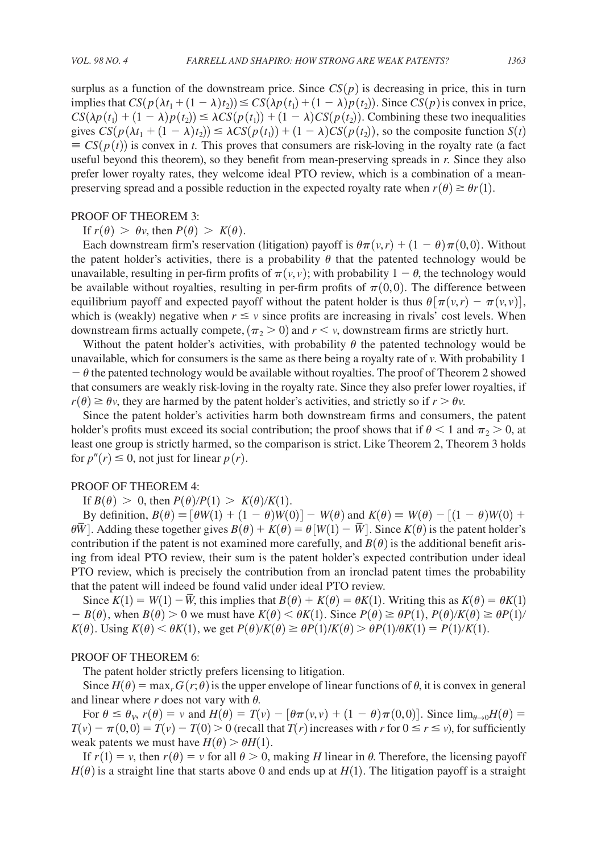surplus as a function of the downstream price. Since  $CS(p)$  is decreasing in price, this in turn implies that  $CS(p(\lambda t_1 + (1 - \lambda)t_2)) \leq CS(\lambda p(t_1) + (1 - \lambda)p(t_2))$ . Since  $CS(p)$  is convex in price,  $CS(\lambda p(t_1) + (1 - \lambda)p(t_2)) \leq \lambda CS(p(t_1)) + (1 - \lambda)CS(p(t_2))$ . Combining these two inequalities gives  $CS(p(\lambda t_1 + (1 - \lambda)t_2)) \leq \lambda CS(p(t_1)) + (1 - \lambda)CS(p(t_2))$ , so the composite function  $S(t)$  $\equiv CS(p(t))$  is convex in *t*. This proves that consumers are risk-loving in the royalty rate (a fact useful beyond this theorem), so they benefit from mean-preserving spreads in *r.* Since they also prefer lower royalty rates, they welcome ideal PTO review, which is a combination of a meanpreserving spread and a possible reduction in the expected royalty rate when  $r(\theta) \geq \theta r(1)$ .

## PROOF OF THEOREM 3:

# If  $r(\theta) > \theta v$ , then  $P(\theta) > K(\theta)$ .

Each downstream firm's reservation (litigation) payoff is  $\theta\pi(\nu,r) + (1-\theta)\pi(0,0)$ . Without the patent holder's activities, there is a probability  $\theta$  that the patented technology would be unavailable, resulting in per-firm profits of  $\pi(v, v)$ ; with probability  $1 - \theta$ , the technology would be available without royalties, resulting in per-firm profits of  $\pi(0, 0)$ . The difference between equilibrium payoff and expected payoff without the patent holder is thus  $\theta[\pi(v,r) - \pi(v,v)]$ , which is (weakly) negative when  $r \le v$  since profits are increasing in rivals' cost levels. When downstream firms actually compete,  $(\pi_2 > 0)$  and  $r < v$ , downstream firms are strictly hurt.

Without the patent holder's activities, with probability  $\theta$  the patented technology would be unavailable, which for consumers is the same as there being a royalty rate of *v*. With probability 1  $-\theta$  the patented technology would be available without royalties. The proof of Theorem 2 showed that consumers are weakly risk-loving in the royalty rate. Since they also prefer lower royalties, if  $r(\theta) \ge \theta v$ , they are harmed by the patent holder's activities, and strictly so if  $r > \theta v$ .

Since the patent holder's activities harm both downstream firms and consumers, the patent holder's profits must exceed its social contribution; the proof shows that if  $\theta$  < 1 and  $\pi$ <sub>2</sub> > 0, at least one group is strictly harmed, so the comparison is strict. Like Theorem 2, Theorem 3 holds for  $p''(r) \leq 0$ , not just for linear  $p(r)$ .

## PROOF OF THEOREM 4:

If  $B(\theta) > 0$ , then  $P(\theta)/P(1) > K(\theta)/K(1)$ .

By definition,  $B(\theta) \equiv [\theta W(1) + (1 - \theta)W(0)] - W(\theta)$  and  $K(\theta) \equiv W(\theta) - [(1 - \theta)W(0) +$  $\theta \overline{W}$ . Adding these together gives  $B(\theta) + K(\theta) = \theta[W(1) - \overline{W}]$ . Since  $K(\theta)$  is the patent holder's contribution if the patent is not examined more carefully, and  $B(\theta)$  is the additional benefit arising from ideal PTO review, their sum is the patent holder's expected contribution under ideal PTO review, which is precisely the contribution from an ironclad patent times the probability that the patent will indeed be found valid under ideal PTO review.

Since  $K(1) = W(1) - \overline{W}$ , this implies that  $B(\theta) + K(\theta) = \theta K(1)$ . Writing this as  $K(\theta) = \theta K(1)$  $B(\theta)$ , when  $B(\theta) > 0$  we must have  $K(\theta) < \theta K(1)$ . Since  $P(\theta) \ge \theta P(1)$ ,  $P(\theta)/K(\theta) \ge \theta P(1)$  $K(\theta)$ . Using  $K(\theta) < \theta K(1)$ , we get  $P(\theta)/K(\theta) \ge \theta P(1)/K(\theta) > \theta P(1)/\theta K(1) = P(1)/K(1)$ .

# PROOF OF THEOREM 6:

The patent holder strictly prefers licensing to litigation.

Since  $H(\theta) = \max_r G(r;\theta)$  is the upper envelope of linear functions of  $\theta$ , it is convex in general and linear where  $r$  does not vary with  $\theta$ .

For  $\theta \le \theta_V$ ,  $r(\theta) = v$  and  $H(\theta) = T(v) - [\theta \pi(v, v) + (1 - \theta) \pi(0, 0)]$ . Since  $\lim_{\theta \to 0} H(\theta) =$  $T(v) - \pi(0,0) = T(v) - T(0) > 0$  (recall that  $T(r)$  increases with *r* for  $0 \le r \le v$ ), for sufficiently weak patents we must have  $H(\theta) > \theta H(1)$ .

If  $r(1) = v$ , then  $r(\theta) = v$  for all  $\theta > 0$ , making *H* linear in  $\theta$ . Therefore, the licensing payoff  $H(\theta)$  is a straight line that starts above 0 and ends up at  $H(1)$ . The litigation payoff is a straight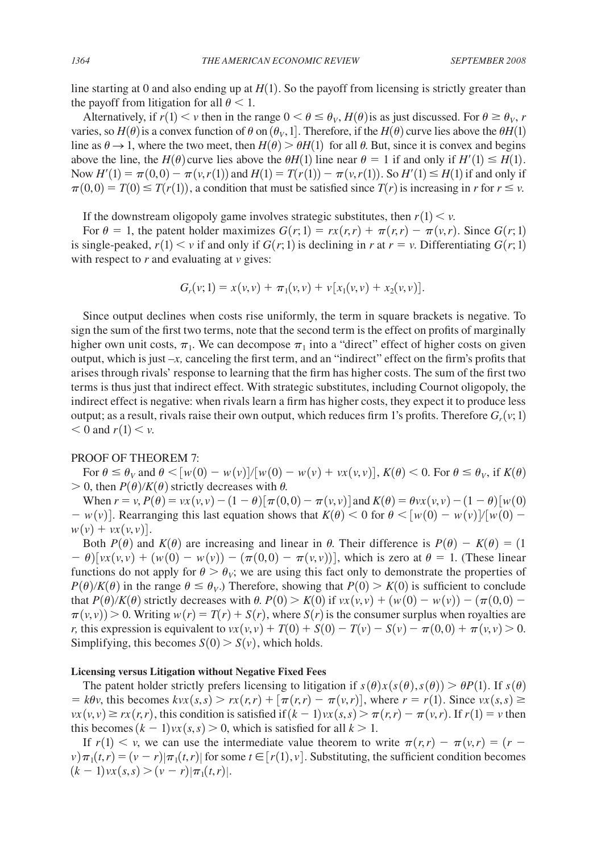line starting at 0 and also ending up at  $H(1)$ . So the payoff from licensing is strictly greater than the payoff from litigation for all  $\theta$  < 1.

Alternatively, if  $r(1) \lt v$  then in the range  $0 \lt \theta \leq \theta_v$ ,  $H(\theta)$  is as just discussed. For  $\theta \geq \theta_v$ , *r* varies, so  $H(\theta)$  is a convex function of  $\theta$  on  $(\theta_V, 1]$ . Therefore, if the  $H(\theta)$  curve lies above the  $\theta H(1)$ line as  $\theta \rightarrow 1$ , where the two meet, then  $H(\theta) > \theta H(1)$  for all  $\theta$ . But, since it is convex and begins above the line, the *H*( $\theta$ ) curve lies above the  $\theta$ *H*(1) line near  $\theta = 1$  if and only if *H*<sup> $\prime$ </sup>(1)  $\leq$  *H*(1). Now  $H'(1) = \pi(0,0) - \pi(\nu,r(1))$  and  $H(1) = T(r(1)) - \pi(\nu,r(1))$ . So  $H'(1) \le H(1)$  if and only if  $\pi(0,0) = T(0) \leq T(r(1))$ , a condition that must be satisfied since  $T(r)$  is increasing in *r* for  $r \leq v$ .

If the downstream oligopoly game involves strategic substitutes, then  $r(1) < v$ .

For  $\theta = 1$ , the patent holder maximizes  $G(r; 1) = rx(r, r) + \pi(r, r) - \pi(v, r)$ . Since  $G(r; 1)$ is single-peaked,  $r(1) < v$  if and only if  $G(r, 1)$  is declining in *r* at  $r = v$ . Differentiating  $G(r, 1)$ with respect to *r* and evaluating at *v* gives:

$$
G_r(v; 1) = x(v, v) + \pi_1(v, v) + v[x_1(v, v) + x_2(v, v)].
$$

Since output declines when costs rise uniformly, the term in square brackets is negative. To sign the sum of the first two terms, note that the second term is the effect on profits of marginally higher own unit costs,  $\pi_1$ . We can decompose  $\pi_1$  into a "direct" effect of higher costs on given output, which is just  $-x$ , canceling the first term, and an "indirect" effect on the firm's profits that arises through rivals' response to learning that the firm has higher costs. The sum of the first two terms is thus just that indirect effect. With strategic substitutes, including Cournot oligopoly, the indirect effect is negative: when rivals learn a firm has higher costs, they expect it to produce less output; as a result, rivals raise their own output, which reduces firm 1's profits. Therefore  $G_r(v; 1)$  $< 0$  and  $r(1) < v$ .

#### PROOF OF THEOREM 7:

For  $\theta \le \theta_V$  and  $\theta < [w(0) - w(v)]/[w(0) - w(v) + vx(v, v)]$ ,  $K(\theta) < 0$ . For  $\theta \le \theta_V$ , if  $K(\theta)$  $> 0$ , then  $P(\theta)/K(\theta)$  strictly decreases with  $\theta$ .

When  $r = v$ ,  $P(\theta) = vx(v, v) - (1 - \theta) [\pi(0, 0) - \pi(v, v)]$  and  $K(\theta) = \theta vx(v, v) - (1 - \theta) [w(0)$  $-\frac{w(v)}{w(0)}$ . Rearranging this last equation shows that  $K(\theta) < 0$  for  $\theta < \frac{w(0) - w(v)}{w(0)} - \frac{w(v)}{w(0)}$  $w(v) + vx(v, v)$ .

Both  $P(\theta)$  and  $K(\theta)$  are increasing and linear in  $\theta$ . Their difference is  $P(\theta) - K(\theta) = (1$  $(u-v)(\nu(x, \nu) + (\nu(0) - \nu(\nu)) - (\pi(0,0) - \pi(\nu, \nu))$ , which is zero at  $\theta = 1$ . (These linear functions do not apply for  $\theta > \theta_V$ ; we are using this fact only to demonstrate the properties of  $P(\theta)/K(\theta)$  in the range  $\theta \leq \theta_V$ .) Therefore, showing that  $P(0) > K(0)$  is sufficient to conclude that  $P(\theta)/K(\theta)$  strictly decreases with  $\theta$ .  $P(0) > K(0)$  if  $vx(v, v) + (w(0) - w(v)) - (\pi(0, 0) - w(v))$  $\pi(v, v) > 0$ . Writing  $w(r) = T(r) + S(r)$ , where  $S(r)$  is the consumer surplus when royalties are *r*, this expression is equivalent to  $vx(v, v) + T(0) + S(0) - T(v) - S(v) - \pi(0, 0) + \pi(v, v) > 0$ . Simplifying, this becomes  $S(0) > S(v)$ , which holds.

#### **Licensing versus Litigation without Negative Fixed Fees**

The patent holder strictly prefers licensing to litigation if  $s(\theta)x(s(\theta), s(\theta)) > \theta P(1)$ . If  $s(\theta)$  $= k\theta v$ , this becomes  $kvx(s, s) > rx(r, r) + [\pi(r, r) - \pi(v, r)]$ , where  $r = r(1)$ . Since  $vx(s, s) \ge$  $vx(v, v) \geq rx(r, r)$ , this condition is satisfied if  $(k - 1)vx(s, s) > \pi(r, r) - \pi(v, r)$ . If  $r(1) = v$  then this becomes  $(k - 1)vx(s, s) > 0$ , which is satisfied for all  $k > 1$ .

If  $r(1) \leq v$ , we can use the intermediate value theorem to write  $\pi(r,r) - \pi(v,r) = (r - \pi)(v, r)$  $\nu$  $\pi_1(t, r) = (\nu - r) | \pi_1(t, r) |$  for some  $t \in [r(1), \nu]$ . Substituting, the sufficient condition becomes  $(k-1) \nu x(s,s)$   $>$   $(\nu - r) |\pi_1(t,r)|$ .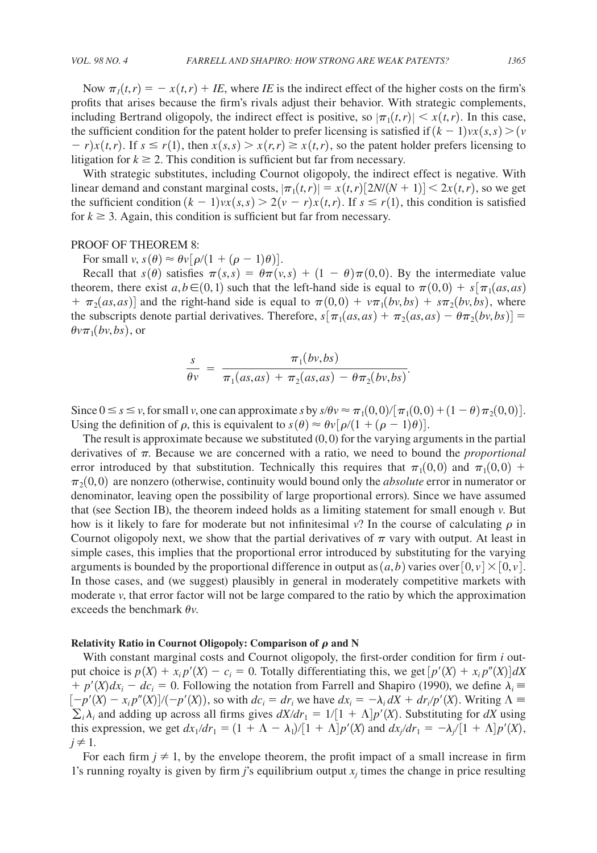Now  $\pi_1(t,r) = -x(t,r) + IE$ , where *IE* is the indirect effect of the higher costs on the firm's profits that arises because the firm's rivals adjust their behavior. With strategic complements, including Bertrand oligopoly, the indirect effect is positive, so  $|\pi_1(t,r)| \leq x(t,r)$ . In this case, the sufficient condition for the patent holder to prefer licensing is satisfied if  $(k - 1)vx(s, s) > (v - 1)vx(s, s)$  $r-r$ )*x*(*t,r*). If  $s \le r(1)$ , then  $x(s,s) > x(r,r) \ge x(t,r)$ , so the patent holder prefers licensing to litigation for  $k \geq 2$ . This condition is sufficient but far from necessary.

With strategic substitutes, including Cournot oligopoly, the indirect effect is negative. With linear demand and constant marginal costs,  $|\pi_1(t,r)| = x(t,r)[2N/(N+1)] < 2x(t,r)$ , so we get the sufficient condition  $(k - 1)vx(s, s) > 2(v - r)x(t, r)$ . If  $s \le r(1)$ , this condition is satisfied for  $k \geq 3$ . Again, this condition is sufficient but far from necessary.

#### PROOF OF THEOREM 8:

For small  $v, s(\theta) \approx \theta v [\rho/(1 + (\rho - 1)\theta)].$ 

Recall that  $s(\theta)$  satisfies  $\pi(s,s) = \theta \pi(v,s) + (1 - \theta) \pi(0,0)$ . By the intermediate value theorem, there exist  $a, b \in (0,1)$  such that the left-hand side is equal to  $\pi(0, 0) + s[\pi_1(as, as)]$  $+ \pi_2(as, as)$ ] and the right-hand side is equal to  $\pi(0, 0) + v\pi_1(bv, bs) + s\pi_2(bv, bs)$ , where the subscripts denote partial derivatives. Therefore,  $s[\pi_1(as, as) + \pi_2(as, as) - \theta \pi_2(bv, bs)] =$  $\theta v \pi_1(bv, bs)$ , or

$$
\frac{s}{\theta v} = \frac{\pi_1(bv,bs)}{\pi_1(as,as) + \pi_2(as,as) - \theta \pi_2(bv,bs)}.
$$

Since  $0 \le s \le v$ , for small *v*, one can approximate *s* by  $s/\theta v \approx \pi_1(0,0)/[\pi_1(0,0) + (1-\theta)\pi_2(0,0)]$ . Using the definition of  $\rho$ , this is equivalent to  $s(\theta) \approx \theta v [\rho/(1 + (\rho - 1)\theta)].$ 

The result is approximate because we substituted  $(0, 0)$  for the varying arguments in the partial derivatives of  $\pi$ . Because we are concerned with a ratio, we need to bound the *proportional* error introduced by that substitution. Technically this requires that  $\pi_1(0, 0)$  and  $\pi_1(0, 0)$  +  $\pi_2 (0, 0)$  are nonzero (otherwise, continuity would bound only the *absolute* error in numerator or denominator, leaving open the possibility of large proportional errors). Since we have assumed that (see Section IB), the theorem indeed holds as a limiting statement for small enough *v*. But how is it likely to fare for moderate but not infinitesimal  $v$ ? In the course of calculating  $\rho$  in Cournot oligopoly next, we show that the partial derivatives of  $\pi$  vary with output. At least in simple cases, this implies that the proportional error introduced by substituting for the varying arguments is bounded by the proportional difference in output as  $(a,b)$  varies over  $[0, v] \times [0, v]$ . In those cases, and (we suggest) plausibly in general in moderately competitive markets with moderate *v*, that error factor will not be large compared to the ratio by which the approximation exceeds the benchmark  $\theta v$ .

#### **Relativity** Ratio in Cournot Oligopoly: Comparison of  $\rho$  and N

With constant marginal costs and Cournot oligopoly, the first-order condition for firm *i* output choice is  $p(X) + x_i p'(X) - c_i = 0$ . Totally differentiating this, we get  $[p'(X) + x_i p''(X)]dX$  $+ p'(X)dx_i - dc_i = 0$ . Following the notation from Farrell and Shapiro (1990), we define  $\lambda_i =$  $[-p'(X) - x_i p''(X)]/(-p'(X))$ , so with  $dc_i = dr_i$  we have  $dx_i = -\lambda_i dX + dr_i/p'(X)$ . Writing  $\Lambda \equiv$  $\sum_i \lambda_i$  and adding up across all firms gives  $dX/dr_1 = 1/[1 + \Lambda]p'(X)$ . Substituting for  $dX$  using this expression, we get  $dx_1/dr_1 = (1 + \Lambda - \lambda_1)/[1 + \Lambda]p'(X)$  and  $dx_1/dr_1 = -\lambda_1/[1 + \Lambda]p'(X)$ ,  $j \neq 1$ .

For each firm  $j \neq 1$ , by the envelope theorem, the profit impact of a small increase in firm 1's running royalty is given by firm *j*'s equilibrium output  $x_j$  times the change in price resulting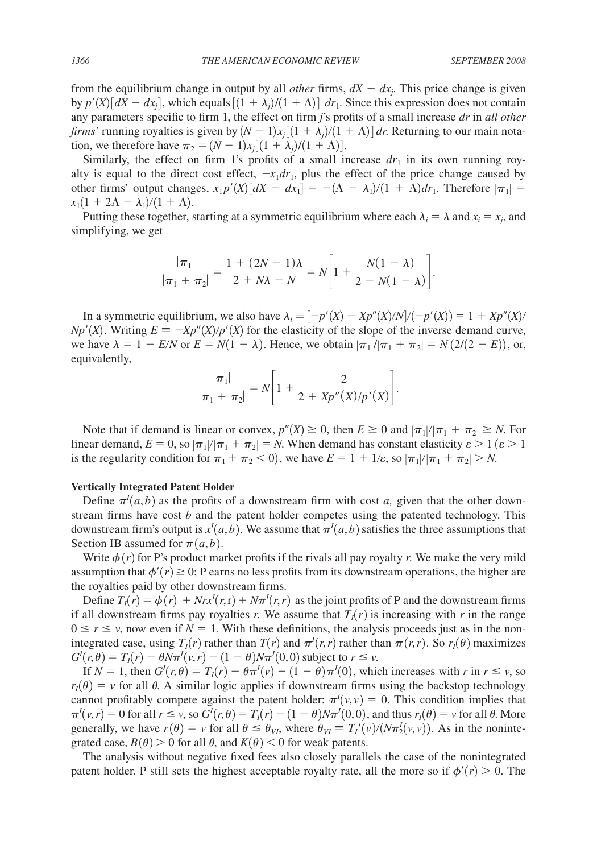from the equilibrium change in output by all *other* firms,  $dX - dx_j$ . This price change is given by  $p'(X)[dX - dx_i]$ , which equals  $[(1 + \lambda_i)/(1 + \Lambda)] dr_1$ . Since this expression does not contain any parameters specific to firm 1, the effect on firm *j*'s profits of a small increase *dr* in *all other firms'* running royalties is given by  $(N-1)x_i[(1+\lambda_i)/(1+\Lambda)]$  dr. Returning to our main notation, we therefore have  $\pi_2 = (N-1)x_i[(1+\lambda_i)/(1+\Lambda)].$ 

Similarly, the effect on firm 1's profits of a small increase  $dr_1$  in its own running royalty is equal to the direct cost effect,  $-x_1dr_1$ , plus the effect of the price change caused by other firms' output changes,  $x_1 p'(X)[dX - dx_1] = -(\Lambda - \lambda_1)/(1 + \Lambda)dr_1$ . Therefore  $|\pi_1|$  $x_1(1 + 2\Lambda - \lambda_1)/(1 + \Lambda)$ .

Putting these together, starting at a symmetric equilibrium where each  $\lambda_i = \lambda$  and  $x_i = x_j$ , and simplifying, we get

$$
\frac{|\pi_1|}{|\pi_1 + \pi_2|} = \frac{1 + (2N - 1)\lambda}{2 + N\lambda - N} = N \left[ 1 + \frac{N(1 - \lambda)}{2 - N(1 - \lambda)} \right].
$$

In a symmetric equilibrium, we also have  $\lambda_i \equiv [-p'(X) - Xp''(X)/N]/(-p'(X)) = 1 + Xp''(X)$  $Np'(X)$ . Writing  $E = -Xp''(X)/p'(X)$  for the elasticity of the slope of the inverse demand curve, we have  $\lambda = 1 - E/N$  or  $E = N(1 - \lambda)$ . Hence, we obtain  $|\pi_1|/|\pi_1 + \pi_2| = N(2/(2 - E))$ , or, equivalently,

$$
\frac{|\pi_1|}{|\pi_1 + \pi_2|} = N \left[ 1 + \frac{2}{2 + Xp''(X)/p'(X)} \right].
$$

Note that if demand is linear or convex,  $p''(X) \ge 0$ , then  $E \ge 0$  and  $|\pi_1|/|\pi_1 + \pi_2| \ge N$ . For linear demand,  $E = 0$ , so  $|\pi_1|/|\pi_1 + \pi_2| = N$ . When demand has constant elasticity  $\varepsilon > 1$  ( $\varepsilon > 1$ is the regularity condition for  $\pi_1 + \pi_2 < 0$ , we have  $E = 1 + 1/\varepsilon$ , so  $|\pi_1|/|\pi_1 + \pi_2| > N$ .

#### **Vertically Integrated Patent Holder**

Define  $\pi^{I}(a,b)$  as the profits of a downstream firm with cost *a*, given that the other downstream firms have cost *b* and the patent holder competes using the patented technology. This downstream firm's output is  $x<sup>I</sup>(a, b)$ . We assume that  $\pi<sup>I</sup>(a, b)$  satisfies the three assumptions that Section IB assumed for  $\pi(a, b)$ .

Write  $\phi(r)$  for P's product market profits if the rivals all pay royalty r. We make the very mild assumption that  $\phi'(r) \geq 0$ ; P earns no less profits from its downstream operations, the higher are the royalties paid by other downstream firms.

Define  $T_I(r) = \phi(r) + Nrx^I(r,r) + N\pi^I(r,r)$  as the joint profits of P and the downstream firms if all downstream firms pay royalties *r*. We assume that  $T<sub>1</sub>(r)$  is increasing with *r* in the range  $0 \le r \le v$ , now even if  $N = 1$ . With these definitions, the analysis proceeds just as in the nonintegrated case, using  $T_I(r)$  rather than  $T(r)$  and  $\pi^I(r,r)$  rather than  $\pi(r,r)$ . So  $r_I(\theta)$  maximizes  $G^{I}(r, \theta) = T_{I}(r) - \theta N \pi^{I}(v, r) - (1 - \theta) N \pi^{I}(0, 0)$  subject to  $r \le v$ .

If  $N = 1$ , then  $G^I(r, \theta) = T_I(r) - \theta \pi^I(v) - (1 - \theta) \pi^I(0)$ , which increases with *r* in  $r \le v$ , so  $r_I(\theta) = v$  for all  $\theta$ . A similar logic applies if downstream firms using the backstop technology cannot profitably compete against the patent holder:  $\pi^I(v, v) = 0$ . This condition implies that  $\pi^{I}(v,r) = 0$  for all  $r \le v$ , so  $G^{I}(r,\theta) = T_{I}(r) - (1-\theta)N\pi^{I}(0,0)$ , and thus  $r_{I}(\theta) = v$  for all  $\theta$ . More generally, we have  $r(\theta) = v$  for all  $\theta \leq \theta_{VI}$ , where  $\theta_{VI} \equiv T_I'(v)/(N\pi_2^I(v, v))$ . As in the nonintegrated case,  $B(\theta) > 0$  for all  $\theta$ , and  $K(\theta) < 0$  for weak patents.

The analysis without negative fixed fees also closely parallels the case of the nonintegrated patent holder. P still sets the highest acceptable royalty rate, all the more so if  $\phi'(r) > 0$ . The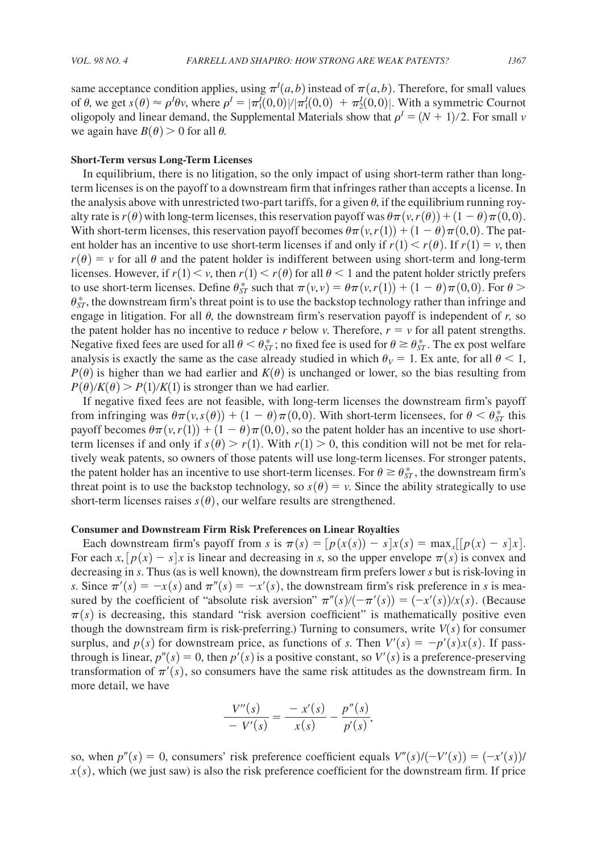same acceptance condition applies, using  $\pi^l(a, b)$  instead of  $\pi(a, b)$ . Therefore, for small values of  $\theta$ , we get  $s(\theta) \approx \rho^I \theta v$ , where  $\rho^I = |\pi_1^I(0,0)|/|\pi_1^I(0,0)| + \pi_2^I(0,0)|$ . With a symmetric Cournot oligopoly and linear demand, the Supplemental Materials show that  $\rho^I = (N + 1)/2$ . For small *v* we again have  $B(\theta) > 0$  for all  $\theta$ .

#### **Short-Term versus Long-Term Licenses**

In equilibrium, there is no litigation, so the only impact of using short-term rather than longterm licenses is on the payoff to a downstream firm that infringes rather than accepts a license. In the analysis above with unrestricted two-part tariffs, for a given  $\theta$ , if the equilibrium running royalty rate is  $r(\theta)$  with long-term licenses, this reservation payoff was  $\theta\pi(v, r(\theta)) + (1 - \theta)\pi(0, 0)$ . With short-term licenses, this reservation payoff becomes  $\theta \pi(\nu, r(1)) + (1 - \theta) \pi(0, 0)$ . The patent holder has an incentive to use short-term licenses if and only if  $r(1) \le r(\theta)$ . If  $r(1) = v$ , then  $r(\theta) = v$  for all  $\theta$  and the patent holder is indifferent between using short-term and long-term licenses. However, if  $r(1) \le v$ , then  $r(1) \le r(\theta)$  for all  $\theta \le 1$  and the patent holder strictly prefers to use short-term licenses. Define  $\theta_{ST}^*$  such that  $\pi(v, v) = \theta \pi(v, r(1)) + (1 - \theta) \pi(0, 0)$ . For  $\theta >$  $\theta_{ST}^*$ , the downstream firm's threat point is to use the backstop technology rather than infringe and engage in litigation. For all  $\theta$ , the downstream firm's reservation payoff is independent of  $r$ , so the patent holder has no incentive to reduce *r* below *v*. Therefore,  $r = v$  for all patent strengths. Negative fixed fees are used for all  $\theta < \theta_{ST}^*$ ; no fixed fee is used for  $\theta \ge \theta_{ST}^*$ . The ex post welfare analysis is exactly the same as the case already studied in which  $\theta_V = 1$ . Ex ante, for all  $\theta \le 1$ ,  $P(\theta)$  is higher than we had earlier and  $K(\theta)$  is unchanged or lower, so the bias resulting from  $P(\theta)/K(\theta) > P(1)/K(1)$  is stronger than we had earlier.

If negative fixed fees are not feasible, with long-term licenses the downstream firm's payoff from infringing was  $\theta\pi(v,s(\theta)) + (1 - \theta)\pi(0,0)$ . With short-term licensees, for  $\theta < \theta_{ST}^*$  this payoff becomes  $\theta\pi(\nu,r(1)) + (1-\theta)\pi(0,0)$ , so the patent holder has an incentive to use shortterm licenses if and only if  $s(\theta) > r(1)$ . With  $r(1) > 0$ , this condition will not be met for relatively weak patents, so owners of those patents will use long-term licenses. For stronger patents, the patent holder has an incentive to use short-term licenses. For  $\theta \geq \theta_{ST}^*$ , the downstream firm's threat point is to use the backstop technology, so  $s(\theta) = v$ . Since the ability strategically to use short-term licenses raises  $s(\theta)$ , our welfare results are strengthened.

#### **Consumer and Downstream Firm Risk Preferences on Linear Royalties**

Each downstream firm's payoff from *s* is  $\pi(s) = [p(x(s)) - s]x(s) = \max_x [[p(x) - s]x]$ . For each  $x, [p(x) - s]x$  is linear and decreasing in *s*, so the upper envelope  $\pi(s)$  is convex and decreasing in *s*. Thus (as is well known), the downstream firm prefers lower *s* but is risk-loving in *s*. Since  $\pi'(s) = -x(s)$  and  $\pi''(s) = -x'(s)$ , the downstream firm's risk preference in *s* is measured by the coefficient of "absolute risk aversion"  $\pi''(s)/(-\pi'(s)) = (-x'(s))/x(s)$ . (Because  $\pi(s)$  is decreasing, this standard "risk aversion coefficient" is mathematically positive even though the downstream firm is risk-preferring.) Turning to consumers, write  $V(s)$  for consumer surplus, and  $p(s)$  for downstream price, as functions of *s*. Then  $V'(s) = -p'(s)x(s)$ . If passthrough is linear,  $p''(s) = 0$ , then  $p'(s)$  is a positive constant, so  $V'(s)$  is a preference-preserving transformation of  $\pi'(s)$ , so consumers have the same risk attitudes as the downstream firm. In more detail, we have

$$
\frac{V''(s)}{-V'(s)} = \frac{-x'(s)}{x(s)} - \frac{p''(s)}{p'(s)},
$$

so, when  $p''(s) = 0$ , consumers' risk preference coefficient equals  $V''(s) / (-V'(s)) = (-x'(s))$  $x(s)$ , which (we just saw) is also the risk preference coefficient for the downstream firm. If price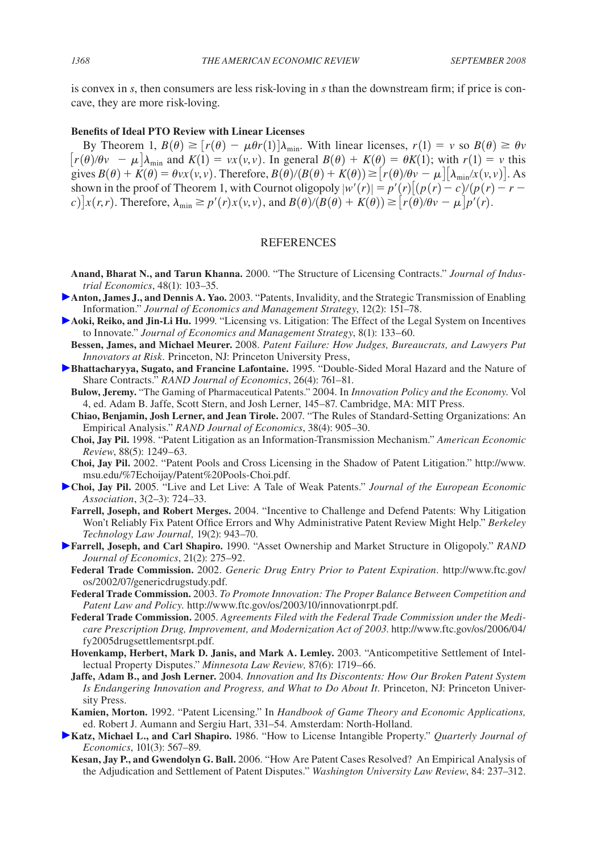is convex in *s*, then consumers are less risk-loving in *s* than the downstream firm; if price is concave, they are more risk-loving.

# **Benefits of Ideal PTO Review with Linear Licenses**

By Theorem 1,  $B(\theta) \ge [r(\theta) - \mu \theta r(1)] \lambda_{\min}$ . With linear licenses,  $r(1) = v$  so  $B(\theta) \ge \theta v$  $[r(\theta)/\theta v - \mu]$  $\lambda_{\min}$  and  $K(1) = vx(v, v)$ . In general  $B(\theta) + K(\theta) = \theta K(1)$ ; with  $r(1) = v$  this gives  $B(\theta) + K(\theta) = \theta v x(v, v)$ . Therefore,  $B(\theta)/(B(\theta) + K(\theta)) \ge [r(\theta)/\theta v - \mu][\lambda_{\min}/x(v, v)]$ . As shown in the proof of Theorem 1, with Cournot oligopoly  $|w'(r)| = p'(r) [(p(r) - c)/(p(r) - r$  $c$ )  $x(r,r)$ . Therefore,  $\lambda_{\min} \geq p'(r)x(v,v)$ , and  $B(\theta)/(B(\theta) + K(\theta)) \geq [r(\theta)/\theta v - \mu]p'(r)$ .

#### **REFERENCES**

- **Anand, Bharat N., and Tarun Khanna.** 2000. "The Structure of Licensing Contracts." *Journal of Industrial Economics*, 48(1): 103–35.
- **Anton, James J., and Dennis A. Yao.** 2003. "Patents, Invalidity, and the Strategic Transmission of Enabling Information." *Journal of Economics and Management Strategy*, 12(2): 151–78.
- **Aoki, Reiko, and Jin-Li Hu.** 1999. "Licensing vs. Litigation: The Effect of the Legal System on Incentives to Innovate." *Journal of Economics and Management Strategy*, 8(1): 133–60.
- **Bessen, James, and Michael Meurer.** 2008. *Patent Failure: How Judges, Bureaucrats, and Lawyers Put Innovators at Risk.* Princeton, NJ: Princeton University Press,
- **Bhattacharyya, Sugato, and Francine Lafontaine.** 1995. "Double-Sided Moral Hazard and the Nature of Share Contracts." *RAND Journal of Economics*, 26(4): 761–81.
	- **Bulow, Jeremy.** "The Gaming of Pharmaceutical Patents." 2004. In *Innovation Policy and the Economy*. Vol 4, ed. Adam B. Jaffe, Scott Stern, and Josh Lerner, 145–87. Cambridge, MA: MIT Press.
	- **Chiao, Benjamin, Josh Lerner, and Jean Tirole.** 2007. "The Rules of Standard-Setting Organizations: An Empirical Analysis." *RAND Journal of Economics*, 38(4): 905–30.
	- **Choi, Jay Pil.** 1998. "Patent Litigation as an Information-Transmission Mechanism." *American Economic Review*, 88(5): 1249–63.
	- **Choi, Jay Pil.** 2002. "Patent Pools and Cross Licensing in the Shadow of Patent Litigation." http://www. msu.edu/%7Echoijay/Patent%20Pools-Choi.pdf.
- **Choi, Jay Pil.** 2005. "Live and Let Live: A Tale of Weak Patents." *Journal of the European Economic Association*, 3(2–3): 724–33.
	- **Farrell, Joseph, and Robert Merges.** 2004. "Incentive to Challenge and Defend Patents: Why Litigation Won't Reliably Fix Patent Office Errors and Why Administrative Patent Review Might Help." *Berkeley Technology Law Journal,* 19(2): 943–70.
- **Farrell, Joseph, and Carl Shapiro.** 1990. "Asset Ownership and Market Structure in Oligopoly." *RAND Journal of Economics*, 21(2): 275–92.
	- **Federal Trade Commission.** 2002. *Generic Drug Entry Prior to Patent Expiration.* http://www.ftc.gov/ os/2002/07/genericdrugstudy.pdf.
	- **Federal Trade Commission.** 2003. *To Promote Innovation: The Proper Balance Between Competition and Patent Law and Policy.* http://www.ftc.gov/os/2003/10/innovationrpt.pdf.
	- **Federal Trade Commission.** 2005. *Agreements Filed with the Federal Trade Commission under the Medicare Prescription Drug, Improvement, and Modernization Act of 2003*. http://www.ftc.gov/os/2006/04/ fy2005drugsettlementsrpt.pdf.
	- **Hovenkamp, Herbert, Mark D. Janis, and Mark A. Lemley.** 2003. "Anticompetitive Settlement of Intellectual Property Disputes." *Minnesota Law Review,* 87(6): 1719–66.
	- **Jaffe, Adam B., and Josh Lerner.** 2004*. Innovation and Its Discontents: How Our Broken Patent System*  Is Endangering Innovation and Progress, and What to Do About It. Princeton, NJ: Princeton University Press.
	- **Kamien, Morton.** 1992. "Patent Licensing." In *Handbook of Game Theory and Economic Applications,* ed. Robert J. Aumann and Sergiu Hart, 331–54. Amsterdam: North-Holland.
- **Katz, Michael L., and Carl Shapiro.** 1986. "How to License Intangible Property." *Quarterly Journal of Economics*, 101(3): 567–89.
	- **Kesan, Jay P., and Gwendolyn G. Ball.** 2006. "How Are Patent Cases Resolved? An Empirical Analysis of the Adjudication and Settlement of Patent Disputes." *Washington University Law Review*, 84: 237–312.